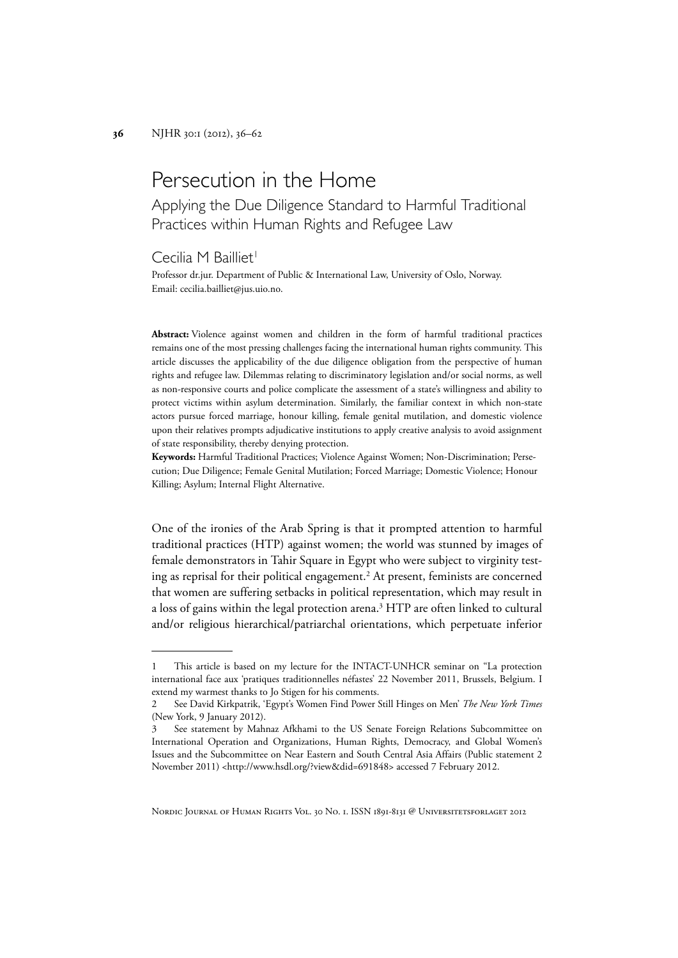# Persecution in the Home

Applying the Due Diligence Standard to Harmful Traditional Practices within Human Rights and Refugee Law

Cecilia M Bailliet<sup>1</sup>

Professor dr.jur. Department of Public & International Law, University of Oslo, Norway. Email: cecilia.bailliet@jus.uio.no.

**Abstract:** Violence against women and children in the form of harmful traditional practices remains one of the most pressing challenges facing the international human rights community. This article discusses the applicability of the due diligence obligation from the perspective of human rights and refugee law. Dilemmas relating to discriminatory legislation and/or social norms, as well as non-responsive courts and police complicate the assessment of a state's willingness and ability to protect victims within asylum determination. Similarly, the familiar context in which non-state actors pursue forced marriage, honour killing, female genital mutilation, and domestic violence upon their relatives prompts adjudicative institutions to apply creative analysis to avoid assignment of state responsibility, thereby denying protection.

**Keywords:** Harmful Traditional Practices; Violence Against Women; Non-Discrimination; Persecution; Due Diligence; Female Genital Mutilation; Forced Marriage; Domestic Violence; Honour Killing; Asylum; Internal Flight Alternative.

One of the ironies of the Arab Spring is that it prompted attention to harmful traditional practices (HTP) against women; the world was stunned by images of female demonstrators in Tahir Square in Egypt who were subject to virginity testing as reprisal for their political engagement.<sup>2</sup> At present, feminists are concerned that women are suffering setbacks in political representation, which may result in a loss of gains within the legal protection arena.<sup>3</sup> HTP are often linked to cultural and/or religious hierarchical/patriarchal orientations, which perpetuate inferior

NORDIC JOURNAL OF HUMAN RIGHTS VOL. 30 NO. 1. ISSN 1891-8131 @ UNIVERSITETSFORLAGET 2012

<sup>1</sup> This article is based on my lecture for the INTACT-UNHCR seminar on "La protection international face aux 'pratiques traditionnelles néfastes' 22 November 2011, Brussels, Belgium. I extend my warmest thanks to Jo Stigen for his comments.

<sup>2</sup> See David Kirkpatrik, 'Egypt's Women Find Power Still Hinges on Men' *The New York Times* (New York, 9 January 2012).

<sup>3</sup> See statement by Mahnaz Afkhami to the US Senate Foreign Relations Subcommittee on International Operation and Organizations, Human Rights, Democracy, and Global Women's Issues and the Subcommittee on Near Eastern and South Central Asia Affairs (Public statement 2 November 2011) <http://www.hsdl.org/?view&did=691848> accessed 7 February 2012.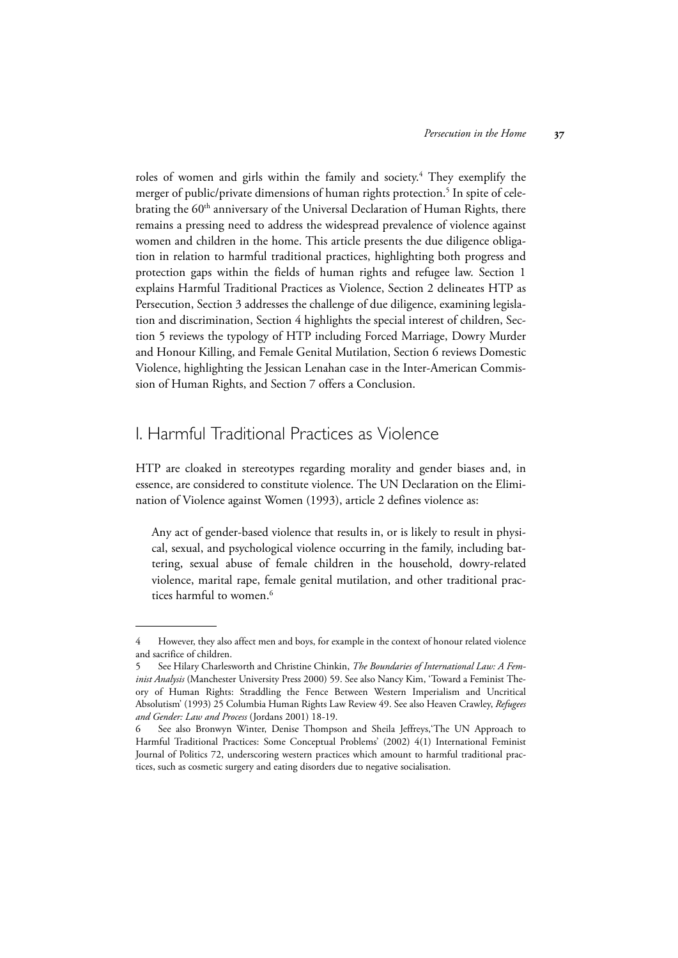roles of women and girls within the family and society.<sup>4</sup> They exemplify the merger of public/private dimensions of human rights protection.<sup>5</sup> In spite of celebrating the 60<sup>th</sup> anniversary of the Universal Declaration of Human Rights, there remains a pressing need to address the widespread prevalence of violence against women and children in the home. This article presents the due diligence obligation in relation to harmful traditional practices, highlighting both progress and protection gaps within the fields of human rights and refugee law. Section 1 explains Harmful Traditional Practices as Violence, Section 2 delineates HTP as Persecution, Section 3 addresses the challenge of due diligence, examining legislation and discrimination, Section 4 highlights the special interest of children, Section 5 reviews the typology of HTP including Forced Marriage, Dowry Murder and Honour Killing, and Female Genital Mutilation, Section 6 reviews Domestic Violence, highlighting the Jessican Lenahan case in the Inter-American Commission of Human Rights, and Section 7 offers a Conclusion.

## I. Harmful Traditional Practices as Violence

HTP are cloaked in stereotypes regarding morality and gender biases and, in essence, are considered to constitute violence. The UN Declaration on the Elimination of Violence against Women (1993), article 2 defines violence as:

Any act of gender-based violence that results in, or is likely to result in physical, sexual, and psychological violence occurring in the family, including battering, sexual abuse of female children in the household, dowry-related violence, marital rape, female genital mutilation, and other traditional practices harmful to women.<sup>6</sup>

<sup>4</sup> However, they also affect men and boys, for example in the context of honour related violence and sacrifice of children.

<sup>5</sup> See Hilary Charlesworth and Christine Chinkin, *The Boundaries of International Law: A Feminist Analysis* (Manchester University Press 2000) 59. See also Nancy Kim, 'Toward a Feminist Theory of Human Rights: Straddling the Fence Between Western Imperialism and Uncritical Absolutism' (1993) 25 Columbia Human Rights Law Review 49. See also Heaven Crawley, *Refugees and Gender: Law and Process* (Jordans 2001) 18-19.

<sup>6</sup> See also Bronwyn Winter, Denise Thompson and Sheila Jeffreys,'The UN Approach to Harmful Traditional Practices: Some Conceptual Problems' (2002) 4(1) International Feminist Journal of Politics 72, underscoring western practices which amount to harmful traditional practices, such as cosmetic surgery and eating disorders due to negative socialisation.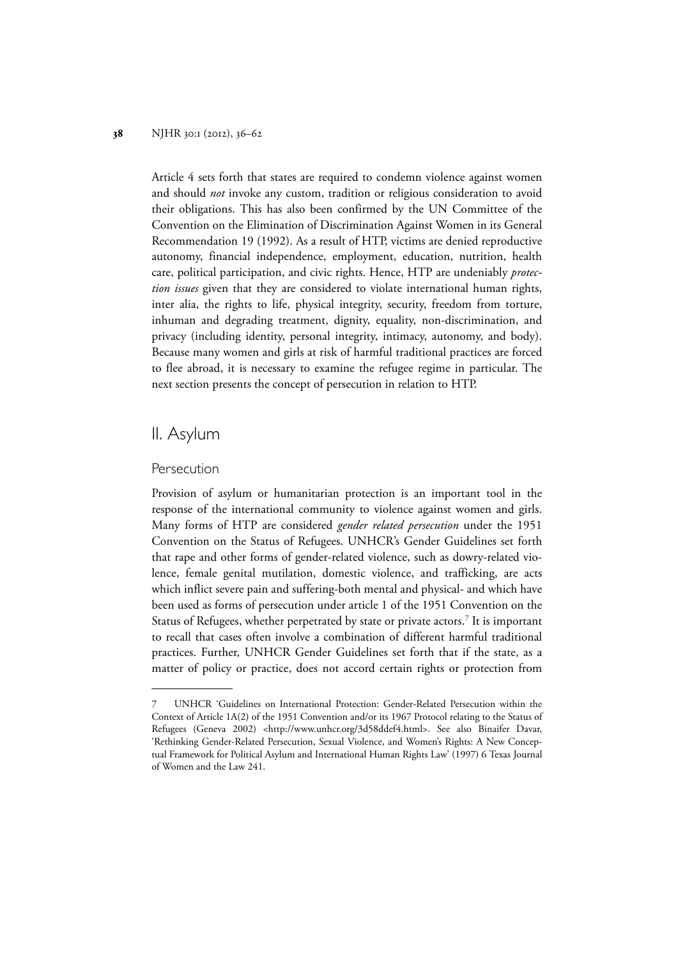Article 4 sets forth that states are required to condemn violence against women and should *not* invoke any custom, tradition or religious consideration to avoid their obligations. This has also been confirmed by the UN Committee of the Convention on the Elimination of Discrimination Against Women in its General Recommendation 19 (1992). As a result of HTP, victims are denied reproductive autonomy, financial independence, employment, education, nutrition, health care, political participation, and civic rights. Hence, HTP are undeniably *protection issues* given that they are considered to violate international human rights, inter alia, the rights to life, physical integrity, security, freedom from torture, inhuman and degrading treatment, dignity, equality, non-discrimination, and privacy (including identity, personal integrity, intimacy, autonomy, and body). Because many women and girls at risk of harmful traditional practices are forced to flee abroad, it is necessary to examine the refugee regime in particular. The next section presents the concept of persecution in relation to HTP.

## II. Asylum

## Persecution

Provision of asylum or humanitarian protection is an important tool in the response of the international community to violence against women and girls. Many forms of HTP are considered *gender related persecution* under the 1951 Convention on the Status of Refugees. UNHCR's Gender Guidelines set forth that rape and other forms of gender-related violence, such as dowry-related violence, female genital mutilation, domestic violence, and trafficking, are acts which inflict severe pain and suffering-both mental and physical- and which have been used as forms of persecution under article 1 of the 1951 Convention on the Status of Refugees, whether perpetrated by state or private actors.<sup>7</sup> It is important to recall that cases often involve a combination of different harmful traditional practices. Further, UNHCR Gender Guidelines set forth that if the state, as a matter of policy or practice, does not accord certain rights or protection from

<sup>7</sup> UNHCR 'Guidelines on International Protection: Gender-Related Persecution within the Context of Article 1A(2) of the 1951 Convention and/or its 1967 Protocol relating to the Status of Refugees (Geneva 2002) <http://www.unhcr.org/3d58ddef4.html>. See also Binaifer Davar, 'Rethinking Gender-Related Persecution, Sexual Violence, and Women's Rights: A New Conceptual Framework for Political Asylum and International Human Rights Law' (1997) 6 Texas Journal of Women and the Law 241.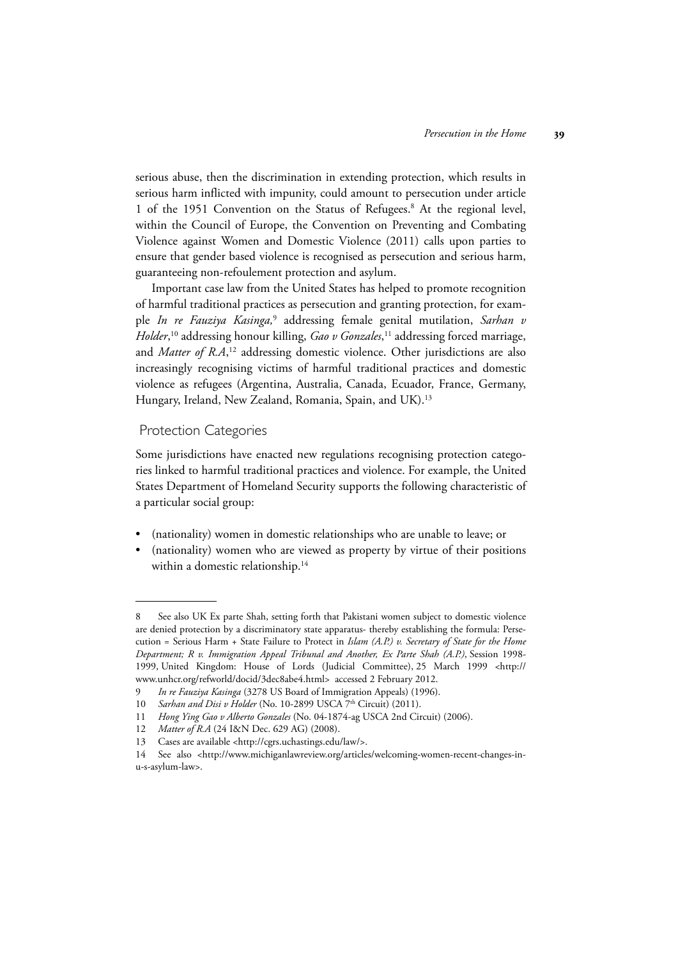serious abuse, then the discrimination in extending protection, which results in serious harm inflicted with impunity, could amount to persecution under article 1 of the 1951 Convention on the Status of Refugees.<sup>8</sup> At the regional level, within the Council of Europe, the Convention on Preventing and Combating Violence against Women and Domestic Violence (2011) calls upon parties to ensure that gender based violence is recognised as persecution and serious harm, guaranteeing non-refoulement protection and asylum.

Important case law from the United States has helped to promote recognition of harmful traditional practices as persecution and granting protection, for example *In re Fauziya Kasinga,*<sup>9</sup> addressing female genital mutilation, *Sarhan v Holder*, 10 addressing honour killing, *Gao v Gonzales*, 11 addressing forced marriage, and *Matter of R.A*, 12 addressing domestic violence. Other jurisdictions are also increasingly recognising victims of harmful traditional practices and domestic violence as refugees (Argentina, Australia, Canada, Ecuador, France, Germany, Hungary, Ireland, New Zealand, Romania, Spain, and UK).13

## Protection Categories

Some jurisdictions have enacted new regulations recognising protection categories linked to harmful traditional practices and violence. For example, the United States Department of Homeland Security supports the following characteristic of a particular social group:

- (nationality) women in domestic relationships who are unable to leave; or
- (nationality) women who are viewed as property by virtue of their positions within a domestic relationship.<sup>14</sup>

<sup>8</sup> See also UK Ex parte Shah, setting forth that Pakistani women subject to domestic violence are denied protection by a discriminatory state apparatus- thereby establishing the formula: Persecution = Serious Harm + State Failure to Protect in *Islam (A.P.) v. Secretary of State for the Home Department; R v. Immigration Appeal Tribunal and Another, Ex Parte Shah (A.P.)*, Session 1998- 1999, United Kingdom: House of Lords (Judicial Committee), 25 March 1999 <http:// www.unhcr.org/refworld/docid/3dec8abe4.html> accessed 2 February 2012.

<sup>9</sup> *In re Fauziya Kasinga* (3278 US Board of Immigration Appeals) (1996).

<sup>10</sup> *Sarhan and Disi v Holder* (No. 10-2899 USCA 7<sup>th</sup> Circuit) (2011).

<sup>11</sup> *Hong Ying Gao v Alberto Gonzales* (No. 04-1874-ag USCA 2nd Circuit) (2006).

<sup>12</sup> *Matter of R.A* (24 I&N Dec. 629 AG) (2008).

<sup>13</sup> Cases are available <http://cgrs.uchastings.edu/law/>.

<sup>14</sup> See also <http://www.michiganlawreview.org/articles/welcoming-women-recent-changes-inu-s-asylum-law>.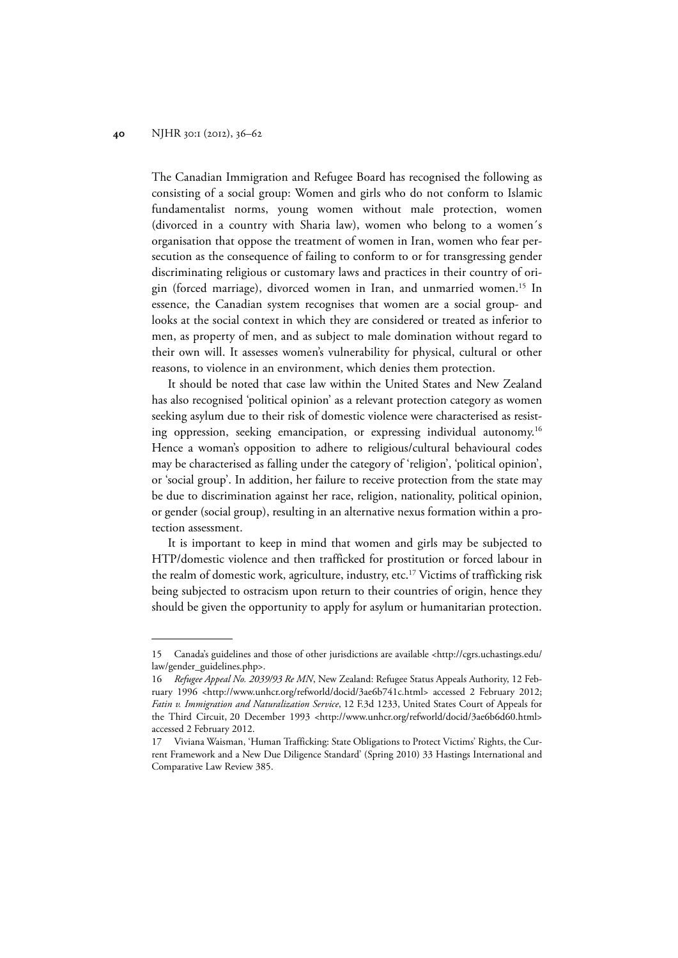The Canadian Immigration and Refugee Board has recognised the following as consisting of a social group: Women and girls who do not conform to Islamic fundamentalist norms, young women without male protection, women (divorced in a country with Sharia law), women who belong to a women´s organisation that oppose the treatment of women in Iran, women who fear persecution as the consequence of failing to conform to or for transgressing gender discriminating religious or customary laws and practices in their country of origin (forced marriage), divorced women in Iran, and unmarried women.15 In essence, the Canadian system recognises that women are a social group- and looks at the social context in which they are considered or treated as inferior to men, as property of men, and as subject to male domination without regard to their own will. It assesses women's vulnerability for physical, cultural or other reasons, to violence in an environment, which denies them protection.

It should be noted that case law within the United States and New Zealand has also recognised 'political opinion' as a relevant protection category as women seeking asylum due to their risk of domestic violence were characterised as resisting oppression, seeking emancipation, or expressing individual autonomy.<sup>16</sup> Hence a woman's opposition to adhere to religious/cultural behavioural codes may be characterised as falling under the category of 'religion', 'political opinion', or 'social group'. In addition, her failure to receive protection from the state may be due to discrimination against her race, religion, nationality, political opinion, or gender (social group), resulting in an alternative nexus formation within a protection assessment.

It is important to keep in mind that women and girls may be subjected to HTP/domestic violence and then trafficked for prostitution or forced labour in the realm of domestic work, agriculture, industry, etc.17 Victims of trafficking risk being subjected to ostracism upon return to their countries of origin, hence they should be given the opportunity to apply for asylum or humanitarian protection.

<sup>15</sup> Canada's guidelines and those of other jurisdictions are available <http://cgrs.uchastings.edu/ law/gender\_guidelines.php>.

<sup>16</sup> *Refugee Appeal No. 2039/93 Re MN*, New Zealand: Refugee Status Appeals Authority, 12 February 1996 <http://www.unhcr.org/refworld/docid/3ae6b741c.html> accessed 2 February 2012; *Fatin v. Immigration and Naturalization Service*, 12 F.3d 1233, United States Court of Appeals for the Third Circuit, 20 December 1993 <http://www.unhcr.org/refworld/docid/3ae6b6d60.html> accessed 2 February 2012.

<sup>17</sup> Viviana Waisman, 'Human Trafficking: State Obligations to Protect Victims' Rights, the Current Framework and a New Due Diligence Standard' (Spring 2010) 33 Hastings International and Comparative Law Review 385.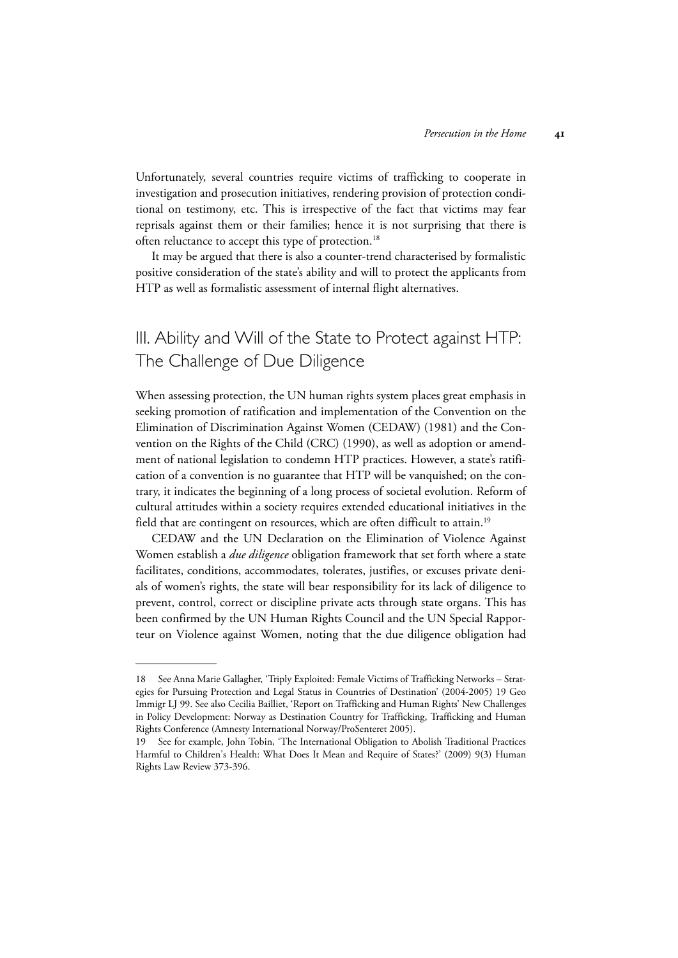Unfortunately, several countries require victims of trafficking to cooperate in investigation and prosecution initiatives, rendering provision of protection conditional on testimony, etc. This is irrespective of the fact that victims may fear reprisals against them or their families; hence it is not surprising that there is often reluctance to accept this type of protection.<sup>18</sup>

It may be argued that there is also a counter-trend characterised by formalistic positive consideration of the state's ability and will to protect the applicants from HTP as well as formalistic assessment of internal flight alternatives.

# III. Ability and Will of the State to Protect against HTP: The Challenge of Due Diligence

When assessing protection, the UN human rights system places great emphasis in seeking promotion of ratification and implementation of the Convention on the Elimination of Discrimination Against Women (CEDAW) (1981) and the Convention on the Rights of the Child (CRC) (1990), as well as adoption or amendment of national legislation to condemn HTP practices. However, a state's ratification of a convention is no guarantee that HTP will be vanquished; on the contrary, it indicates the beginning of a long process of societal evolution. Reform of cultural attitudes within a society requires extended educational initiatives in the field that are contingent on resources, which are often difficult to attain.<sup>19</sup>

CEDAW and the UN Declaration on the Elimination of Violence Against Women establish a *due diligence* obligation framework that set forth where a state facilitates, conditions, accommodates, tolerates, justifies, or excuses private denials of women's rights, the state will bear responsibility for its lack of diligence to prevent, control, correct or discipline private acts through state organs. This has been confirmed by the UN Human Rights Council and the UN Special Rapporteur on Violence against Women, noting that the due diligence obligation had

<sup>18</sup> See Anna Marie Gallagher, 'Triply Exploited: Female Victims of Trafficking Networks – Strategies for Pursuing Protection and Legal Status in Countries of Destination' (2004-2005) 19 Geo Immigr LJ 99. See also Cecilia Bailliet, 'Report on Trafficking and Human Rights' New Challenges in Policy Development: Norway as Destination Country for Trafficking, Trafficking and Human Rights Conference (Amnesty International Norway/ProSenteret 2005).

<sup>19</sup> See for example, John Tobin, 'The International Obligation to Abolish Traditional Practices Harmful to Children's Health: What Does It Mean and Require of States?' (2009) 9(3) Human Rights Law Review 373-396.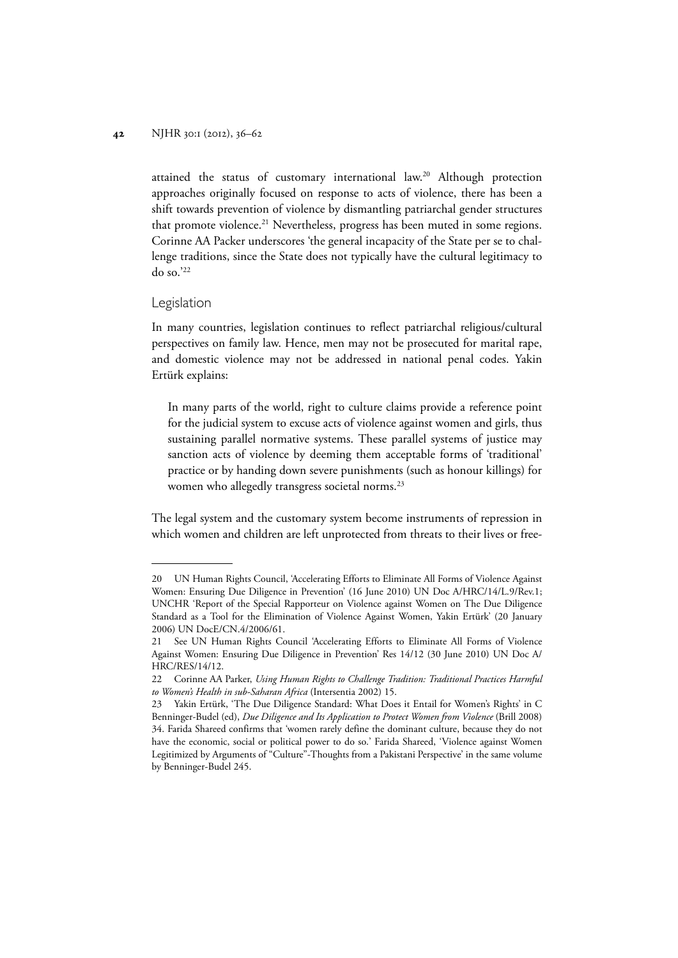attained the status of customary international law.20 Although protection approaches originally focused on response to acts of violence, there has been a shift towards prevention of violence by dismantling patriarchal gender structures that promote violence.<sup>21</sup> Nevertheless, progress has been muted in some regions. Corinne AA Packer underscores 'the general incapacity of the State per se to challenge traditions, since the State does not typically have the cultural legitimacy to do so.'22

## Legislation

In many countries, legislation continues to reflect patriarchal religious/cultural perspectives on family law. Hence, men may not be prosecuted for marital rape, and domestic violence may not be addressed in national penal codes. Yakin Ertürk explains:

In many parts of the world, right to culture claims provide a reference point for the judicial system to excuse acts of violence against women and girls, thus sustaining parallel normative systems. These parallel systems of justice may sanction acts of violence by deeming them acceptable forms of 'traditional' practice or by handing down severe punishments (such as honour killings) for women who allegedly transgress societal norms.<sup>23</sup>

The legal system and the customary system become instruments of repression in which women and children are left unprotected from threats to their lives or free-

<sup>20</sup> UN Human Rights Council, 'Accelerating Efforts to Eliminate All Forms of Violence Against Women: Ensuring Due Diligence in Prevention' (16 June 2010) UN Doc A/HRC/14/L.9/Rev.1; UNCHR 'Report of the Special Rapporteur on Violence against Women on The Due Diligence Standard as a Tool for the Elimination of Violence Against Women, Yakin Ertürk' (20 January 2006) UN DocE/CN.4/2006/61.

<sup>21</sup> See UN Human Rights Council 'Accelerating Efforts to Eliminate All Forms of Violence Against Women: Ensuring Due Diligence in Prevention' Res 14/12 (30 June 2010) UN Doc A/ HRC/RES/14/12.

<sup>22</sup> Corinne AA Parker, *Using Human Rights to Challenge Tradition: Traditional Practices Harmful to Women's Health in sub-Saharan Africa* (Intersentia 2002) 15.

<sup>23</sup> Yakin Ertürk, 'The Due Diligence Standard: What Does it Entail for Women's Rights' in C Benninger-Budel (ed), *Due Diligence and Its Application to Protect Women from Violence* (Brill 2008) 34. Farida Shareed confirms that 'women rarely define the dominant culture, because they do not have the economic, social or political power to do so.' Farida Shareed, 'Violence against Women Legitimized by Arguments of "Culture"-Thoughts from a Pakistani Perspective' in the same volume by Benninger-Budel 245.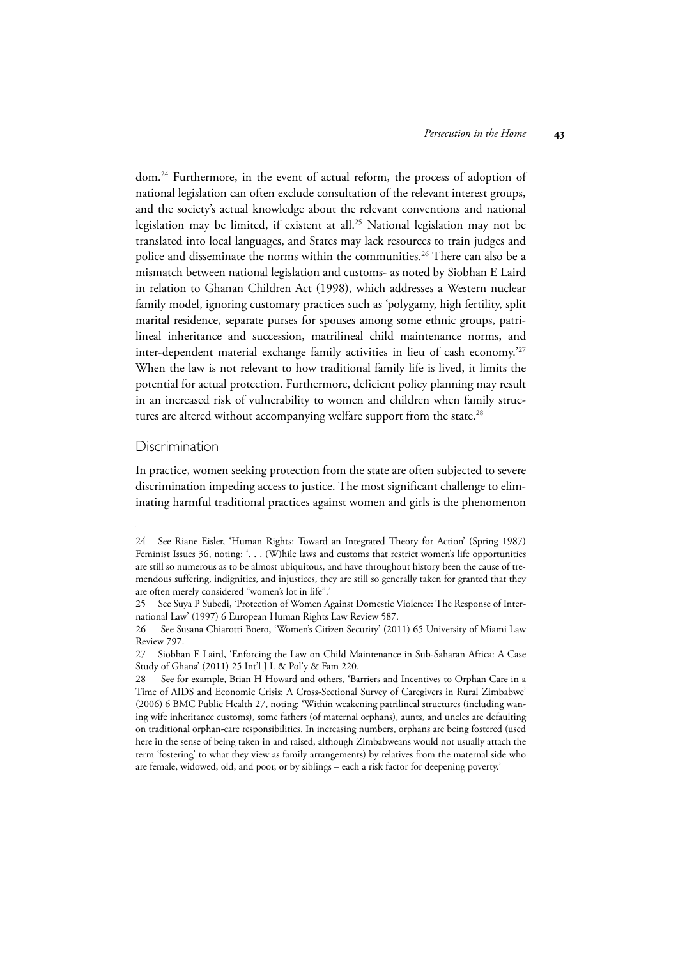dom.24 Furthermore, in the event of actual reform, the process of adoption of national legislation can often exclude consultation of the relevant interest groups, and the society's actual knowledge about the relevant conventions and national legislation may be limited, if existent at all.25 National legislation may not be translated into local languages, and States may lack resources to train judges and police and disseminate the norms within the communities.<sup>26</sup> There can also be a mismatch between national legislation and customs- as noted by Siobhan E Laird in relation to Ghanan Children Act (1998), which addresses a Western nuclear family model, ignoring customary practices such as 'polygamy, high fertility, split marital residence, separate purses for spouses among some ethnic groups, patrilineal inheritance and succession, matrilineal child maintenance norms, and inter-dependent material exchange family activities in lieu of cash economy.'27 When the law is not relevant to how traditional family life is lived, it limits the potential for actual protection. Furthermore, deficient policy planning may result in an increased risk of vulnerability to women and children when family structures are altered without accompanying welfare support from the state.<sup>28</sup>

## Discrimination

In practice, women seeking protection from the state are often subjected to severe discrimination impeding access to justice. The most significant challenge to eliminating harmful traditional practices against women and girls is the phenomenon

<sup>24</sup> See Riane Eisler, 'Human Rights: Toward an Integrated Theory for Action' (Spring 1987) Feminist Issues 36, noting: '. . . (W)hile laws and customs that restrict women's life opportunities are still so numerous as to be almost ubiquitous, and have throughout history been the cause of tremendous suffering, indignities, and injustices, they are still so generally taken for granted that they are often merely considered "women's lot in life".'

<sup>25</sup> See Suya P Subedi, 'Protection of Women Against Domestic Violence: The Response of International Law' (1997) 6 European Human Rights Law Review 587.

<sup>26</sup> See Susana Chiarotti Boero, 'Women's Citizen Security' (2011) 65 University of Miami Law Review 797.

<sup>27</sup> Siobhan E Laird, 'Enforcing the Law on Child Maintenance in Sub-Saharan Africa: A Case Study of Ghana' (2011) 25 Int'l J L & Pol'y & Fam 220.

<sup>28</sup> See for example, Brian H Howard and others, 'Barriers and Incentives to Orphan Care in a Time of AIDS and Economic Crisis: A Cross-Sectional Survey of Caregivers in Rural Zimbabwe' (2006) 6 BMC Public Health 27, noting: 'Within weakening patrilineal structures (including waning wife inheritance customs), some fathers (of maternal orphans), aunts, and uncles are defaulting on traditional orphan-care responsibilities. In increasing numbers, orphans are being fostered (used here in the sense of being taken in and raised, although Zimbabweans would not usually attach the term 'fostering' to what they view as family arrangements) by relatives from the maternal side who are female, widowed, old, and poor, or by siblings – each a risk factor for deepening poverty.'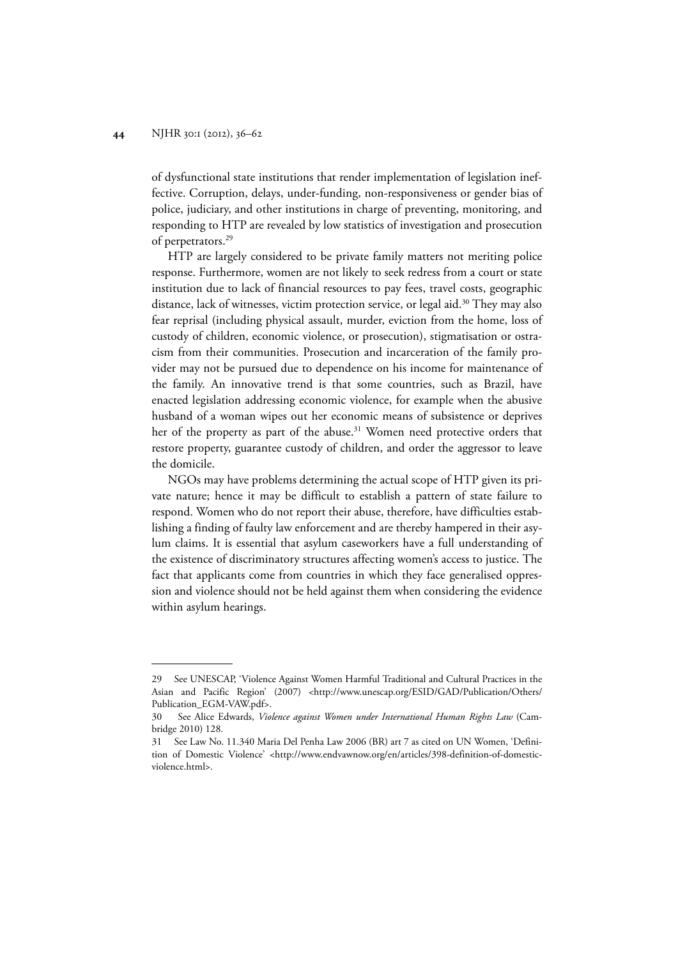of dysfunctional state institutions that render implementation of legislation ineffective. Corruption, delays, under-funding, non-responsiveness or gender bias of police, judiciary, and other institutions in charge of preventing, monitoring, and responding to HTP are revealed by low statistics of investigation and prosecution of perpetrators.29

HTP are largely considered to be private family matters not meriting police response. Furthermore, women are not likely to seek redress from a court or state institution due to lack of financial resources to pay fees, travel costs, geographic distance, lack of witnesses, victim protection service, or legal aid.<sup>30</sup> They may also fear reprisal (including physical assault, murder, eviction from the home, loss of custody of children, economic violence, or prosecution), stigmatisation or ostracism from their communities. Prosecution and incarceration of the family provider may not be pursued due to dependence on his income for maintenance of the family. An innovative trend is that some countries, such as Brazil, have enacted legislation addressing economic violence, for example when the abusive husband of a woman wipes out her economic means of subsistence or deprives her of the property as part of the abuse.<sup>31</sup> Women need protective orders that restore property, guarantee custody of children, and order the aggressor to leave the domicile.

NGOs may have problems determining the actual scope of HTP given its private nature; hence it may be difficult to establish a pattern of state failure to respond. Women who do not report their abuse, therefore, have difficulties establishing a finding of faulty law enforcement and are thereby hampered in their asylum claims. It is essential that asylum caseworkers have a full understanding of the existence of discriminatory structures affecting women's access to justice. The fact that applicants come from countries in which they face generalised oppression and violence should not be held against them when considering the evidence within asylum hearings.

<sup>29</sup> See UNESCAP, 'Violence Against Women Harmful Traditional and Cultural Practices in the Asian and Pacific Region' (2007) <http://www.unescap.org/ESID/GAD/Publication/Others/ Publication\_EGM-VAW.pdf>.

<sup>30</sup> See Alice Edwards, *Violence against Women under International Human Rights Law* (Cambridge 2010) 128.

<sup>31</sup> See Law No. 11.340 Maria Del Penha Law 2006 (BR) art 7 as cited on UN Women, 'Definition of Domestic Violence' <http://www.endvawnow.org/en/articles/398-definition-of-domesticviolence.html>.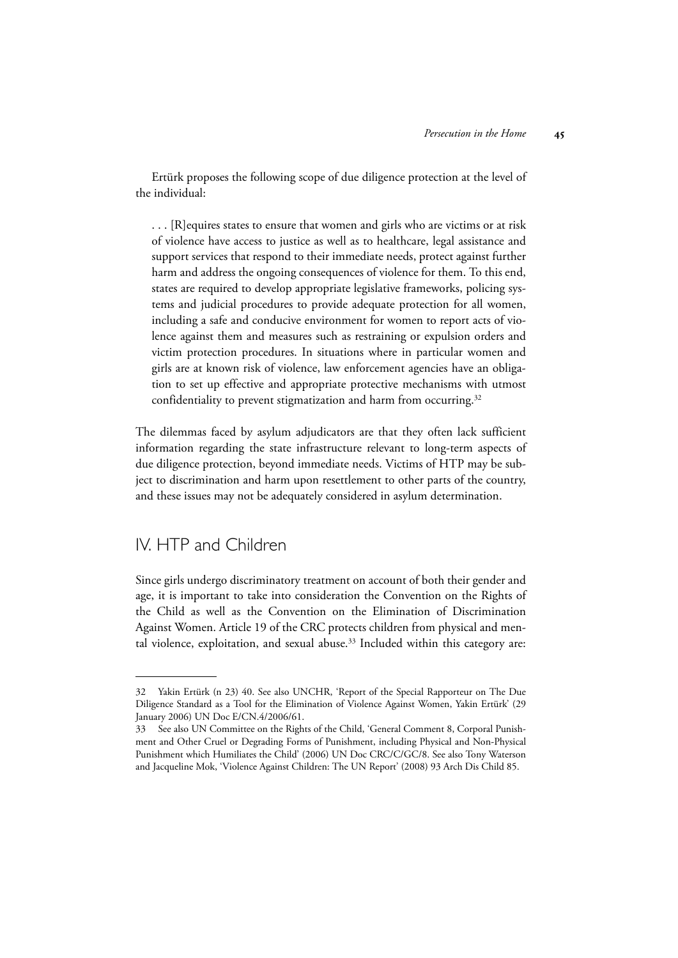Ertürk proposes the following scope of due diligence protection at the level of the individual:

. . . [R]equires states to ensure that women and girls who are victims or at risk of violence have access to justice as well as to healthcare, legal assistance and support services that respond to their immediate needs, protect against further harm and address the ongoing consequences of violence for them. To this end, states are required to develop appropriate legislative frameworks, policing systems and judicial procedures to provide adequate protection for all women, including a safe and conducive environment for women to report acts of violence against them and measures such as restraining or expulsion orders and victim protection procedures. In situations where in particular women and girls are at known risk of violence, law enforcement agencies have an obligation to set up effective and appropriate protective mechanisms with utmost confidentiality to prevent stigmatization and harm from occurring.<sup>32</sup>

The dilemmas faced by asylum adjudicators are that they often lack sufficient information regarding the state infrastructure relevant to long-term aspects of due diligence protection, beyond immediate needs. Victims of HTP may be subject to discrimination and harm upon resettlement to other parts of the country, and these issues may not be adequately considered in asylum determination.

# IV. HTP and Children

Since girls undergo discriminatory treatment on account of both their gender and age, it is important to take into consideration the Convention on the Rights of the Child as well as the Convention on the Elimination of Discrimination Against Women. Article 19 of the CRC protects children from physical and mental violence, exploitation, and sexual abuse. $33$  Included within this category are:

<sup>32</sup> Yakin Ertürk (n 23) 40. See also UNCHR, 'Report of the Special Rapporteur on The Due Diligence Standard as a Tool for the Elimination of Violence Against Women, Yakin Ertürk' (29 January 2006) UN Doc E/CN.4/2006/61.

<sup>33</sup> See also UN Committee on the Rights of the Child, 'General Comment 8, Corporal Punishment and Other Cruel or Degrading Forms of Punishment, including Physical and Non-Physical Punishment which Humiliates the Child' (2006) UN Doc CRC/C/GC/8. See also Tony Waterson and Jacqueline Mok, 'Violence Against Children: The UN Report' (2008) 93 Arch Dis Child 85.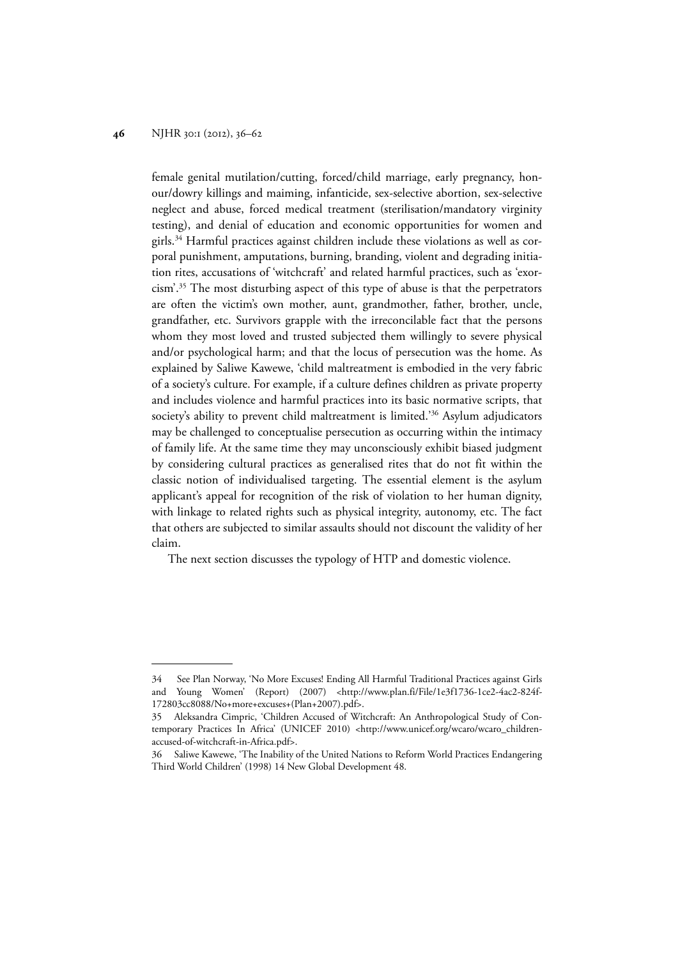female genital mutilation/cutting, forced/child marriage, early pregnancy, honour/dowry killings and maiming, infanticide, sex-selective abortion, sex-selective neglect and abuse, forced medical treatment (sterilisation/mandatory virginity testing), and denial of education and economic opportunities for women and girls.34 Harmful practices against children include these violations as well as corporal punishment, amputations, burning, branding, violent and degrading initiation rites, accusations of 'witchcraft' and related harmful practices, such as 'exorcism'.35 The most disturbing aspect of this type of abuse is that the perpetrators are often the victim's own mother, aunt, grandmother, father, brother, uncle, grandfather, etc. Survivors grapple with the irreconcilable fact that the persons whom they most loved and trusted subjected them willingly to severe physical and/or psychological harm; and that the locus of persecution was the home. As explained by Saliwe Kawewe, 'child maltreatment is embodied in the very fabric of a society's culture. For example, if a culture defines children as private property and includes violence and harmful practices into its basic normative scripts, that society's ability to prevent child maltreatment is limited.'36 Asylum adjudicators may be challenged to conceptualise persecution as occurring within the intimacy of family life. At the same time they may unconsciously exhibit biased judgment by considering cultural practices as generalised rites that do not fit within the classic notion of individualised targeting. The essential element is the asylum applicant's appeal for recognition of the risk of violation to her human dignity, with linkage to related rights such as physical integrity, autonomy, etc. The fact that others are subjected to similar assaults should not discount the validity of her claim.

The next section discusses the typology of HTP and domestic violence.

<sup>34</sup> See Plan Norway, 'No More Excuses! Ending All Harmful Traditional Practices against Girls and Young Women' (Report) (2007) <http://www.plan.fi/File/1e3f1736-1ce2-4ac2-824f-172803cc8088/No+more+excuses+(Plan+2007).pdf>.

<sup>35</sup> Aleksandra Cimpric, 'Children Accused of Witchcraft: An Anthropological Study of Contemporary Practices In Africa' (UNICEF 2010) <http://www.unicef.org/wcaro/wcaro\_childrenaccused-of-witchcraft-in-Africa.pdf>.

<sup>36</sup> Saliwe Kawewe, 'The Inability of the United Nations to Reform World Practices Endangering Third World Children' (1998) 14 New Global Development 48.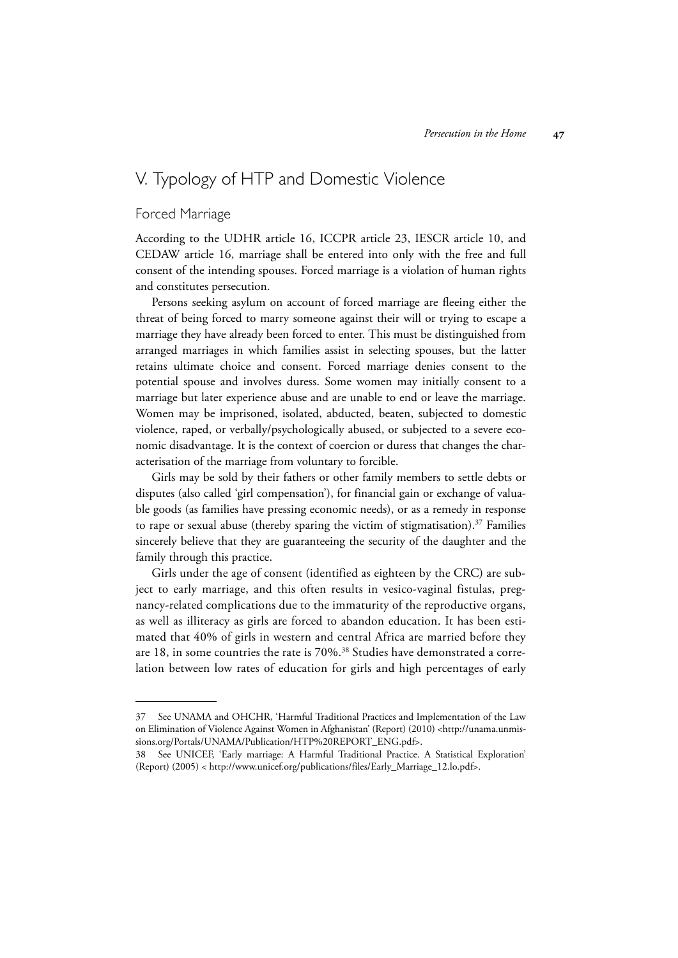# V. Typology of HTP and Domestic Violence

## Forced Marriage

According to the UDHR article 16, ICCPR article 23, IESCR article 10, and CEDAW article 16, marriage shall be entered into only with the free and full consent of the intending spouses. Forced marriage is a violation of human rights and constitutes persecution.

Persons seeking asylum on account of forced marriage are fleeing either the threat of being forced to marry someone against their will or trying to escape a marriage they have already been forced to enter. This must be distinguished from arranged marriages in which families assist in selecting spouses, but the latter retains ultimate choice and consent. Forced marriage denies consent to the potential spouse and involves duress. Some women may initially consent to a marriage but later experience abuse and are unable to end or leave the marriage. Women may be imprisoned, isolated, abducted, beaten, subjected to domestic violence, raped, or verbally/psychologically abused, or subjected to a severe economic disadvantage. It is the context of coercion or duress that changes the characterisation of the marriage from voluntary to forcible.

Girls may be sold by their fathers or other family members to settle debts or disputes (also called 'girl compensation'), for financial gain or exchange of valuable goods (as families have pressing economic needs), or as a remedy in response to rape or sexual abuse (thereby sparing the victim of stigmatisation). $37$  Families sincerely believe that they are guaranteeing the security of the daughter and the family through this practice.

Girls under the age of consent (identified as eighteen by the CRC) are subject to early marriage, and this often results in vesico-vaginal fistulas, pregnancy-related complications due to the immaturity of the reproductive organs, as well as illiteracy as girls are forced to abandon education. It has been estimated that 40% of girls in western and central Africa are married before they are 18, in some countries the rate is 70%.<sup>38</sup> Studies have demonstrated a correlation between low rates of education for girls and high percentages of early

<sup>37</sup> See UNAMA and OHCHR, 'Harmful Traditional Practices and Implementation of the Law on Elimination of Violence Against Women in Afghanistan' (Report) (2010) <http://unama.unmissions.org/Portals/UNAMA/Publication/HTP%20REPORT\_ENG.pdf>.

<sup>38</sup> See UNICEF, 'Early marriage: A Harmful Traditional Practice. A Statistical Exploration' (Report) (2005) < http://www.unicef.org/publications/files/Early\_Marriage\_12.lo.pdf>.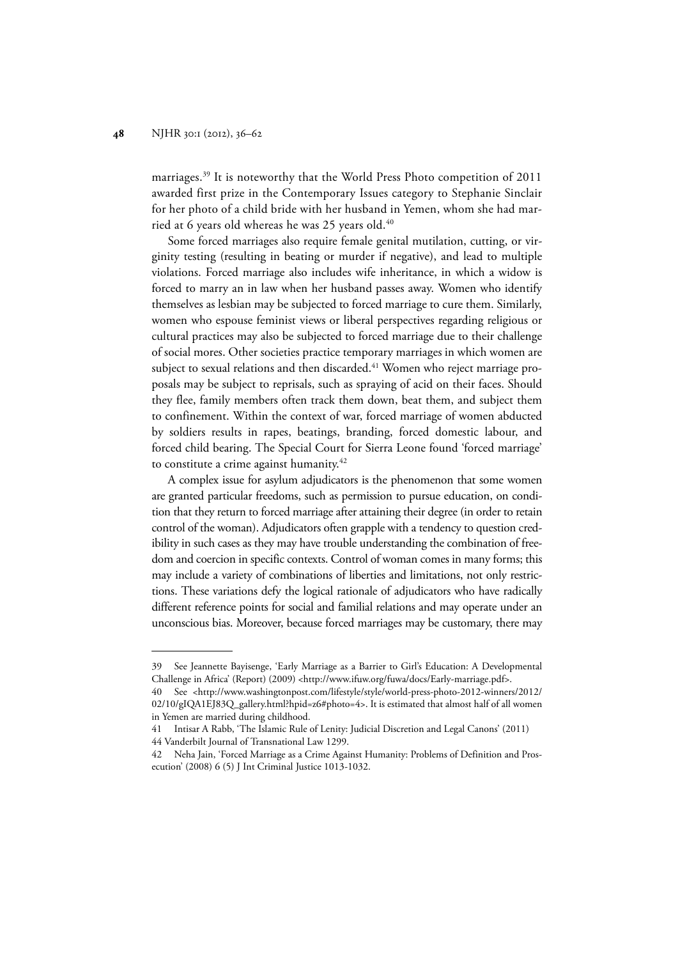marriages.39 It is noteworthy that the World Press Photo competition of 2011 awarded first prize in the Contemporary Issues category to Stephanie Sinclair for her photo of a child bride with her husband in Yemen, whom she had married at 6 years old whereas he was 25 years old.<sup>40</sup>

Some forced marriages also require female genital mutilation, cutting, or virginity testing (resulting in beating or murder if negative), and lead to multiple violations. Forced marriage also includes wife inheritance, in which a widow is forced to marry an in law when her husband passes away. Women who identify themselves as lesbian may be subjected to forced marriage to cure them. Similarly, women who espouse feminist views or liberal perspectives regarding religious or cultural practices may also be subjected to forced marriage due to their challenge of social mores. Other societies practice temporary marriages in which women are subject to sexual relations and then discarded.<sup>41</sup> Women who reject marriage proposals may be subject to reprisals, such as spraying of acid on their faces. Should they flee, family members often track them down, beat them, and subject them to confinement. Within the context of war, forced marriage of women abducted by soldiers results in rapes, beatings, branding, forced domestic labour, and forced child bearing. The Special Court for Sierra Leone found 'forced marriage' to constitute a crime against humanity.<sup>42</sup>

A complex issue for asylum adjudicators is the phenomenon that some women are granted particular freedoms, such as permission to pursue education, on condition that they return to forced marriage after attaining their degree (in order to retain control of the woman). Adjudicators often grapple with a tendency to question credibility in such cases as they may have trouble understanding the combination of freedom and coercion in specific contexts. Control of woman comes in many forms; this may include a variety of combinations of liberties and limitations, not only restrictions. These variations defy the logical rationale of adjudicators who have radically different reference points for social and familial relations and may operate under an unconscious bias. Moreover, because forced marriages may be customary, there may

<sup>39</sup> See Jeannette Bayisenge, 'Early Marriage as a Barrier to Girl's Education: A Developmental Challenge in Africa' (Report) (2009) <http://www.ifuw.org/fuwa/docs/Early-marriage.pdf>.

<sup>40</sup> See <http://www.washingtonpost.com/lifestyle/style/world-press-photo-2012-winners/2012/ 02/10/gIQA1EJ83Q\_gallery.html?hpid=z6#photo=4>. It is estimated that almost half of all women in Yemen are married during childhood.

<sup>41</sup> Intisar A Rabb, 'The Islamic Rule of Lenity: Judicial Discretion and Legal Canons' (2011) 44 Vanderbilt Journal of Transnational Law 1299.

<sup>42</sup> Neha Jain, 'Forced Marriage as a Crime Against Humanity: Problems of Definition and Prosecution' (2008) 6 (5) J Int Criminal Justice 1013-1032.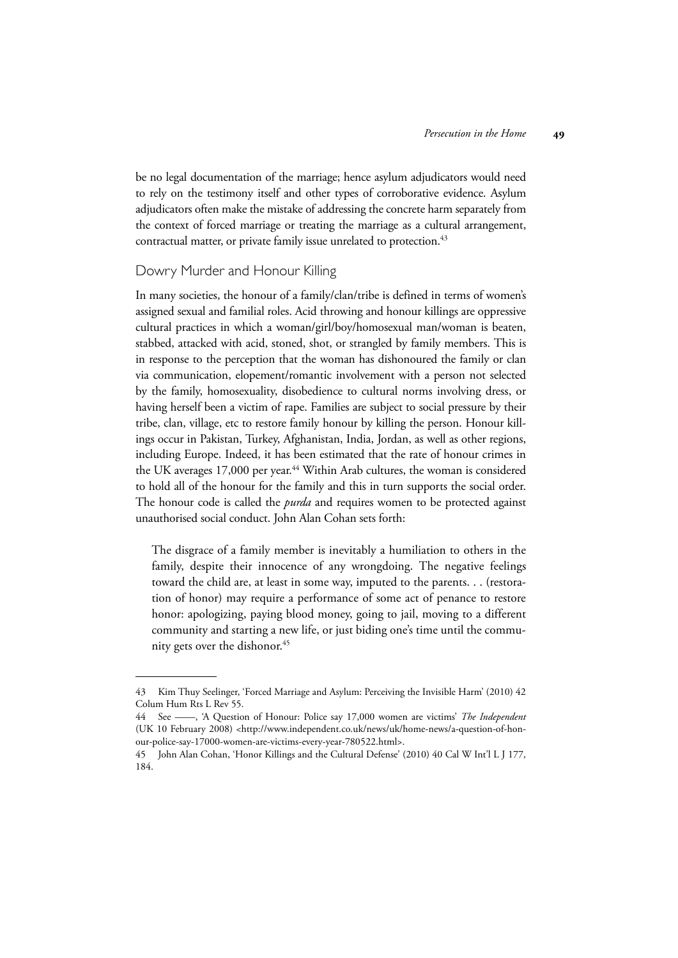be no legal documentation of the marriage; hence asylum adjudicators would need to rely on the testimony itself and other types of corroborative evidence. Asylum adjudicators often make the mistake of addressing the concrete harm separately from the context of forced marriage or treating the marriage as a cultural arrangement, contractual matter, or private family issue unrelated to protection.<sup>43</sup>

## Dowry Murder and Honour Killing

In many societies, the honour of a family/clan/tribe is defined in terms of women's assigned sexual and familial roles. Acid throwing and honour killings are oppressive cultural practices in which a woman/girl/boy/homosexual man/woman is beaten, stabbed, attacked with acid, stoned, shot, or strangled by family members. This is in response to the perception that the woman has dishonoured the family or clan via communication, elopement/romantic involvement with a person not selected by the family, homosexuality, disobedience to cultural norms involving dress, or having herself been a victim of rape. Families are subject to social pressure by their tribe, clan, village, etc to restore family honour by killing the person. Honour killings occur in Pakistan, Turkey, Afghanistan, India, Jordan, as well as other regions, including Europe. Indeed, it has been estimated that the rate of honour crimes in the UK averages 17,000 per year.<sup>44</sup> Within Arab cultures, the woman is considered to hold all of the honour for the family and this in turn supports the social order. The honour code is called the *purda* and requires women to be protected against unauthorised social conduct. John Alan Cohan sets forth:

The disgrace of a family member is inevitably a humiliation to others in the family, despite their innocence of any wrongdoing. The negative feelings toward the child are, at least in some way, imputed to the parents. . . (restoration of honor) may require a performance of some act of penance to restore honor: apologizing, paying blood money, going to jail, moving to a different community and starting a new life, or just biding one's time until the community gets over the dishonor.<sup>45</sup>

<sup>43</sup> Kim Thuy Seelinger, 'Forced Marriage and Asylum: Perceiving the Invisible Harm' (2010) 42 Colum Hum Rts L Rev 55.

<sup>44</sup> See ——, 'A Question of Honour: Police say 17,000 women are victims' *The Independent* (UK 10 February 2008) <http://www.independent.co.uk/news/uk/home-news/a-question-of-honour-police-say-17000-women-are-victims-every-year-780522.html>.

<sup>45</sup> John Alan Cohan, 'Honor Killings and the Cultural Defense' (2010) 40 Cal W Int'l L J 177, 184.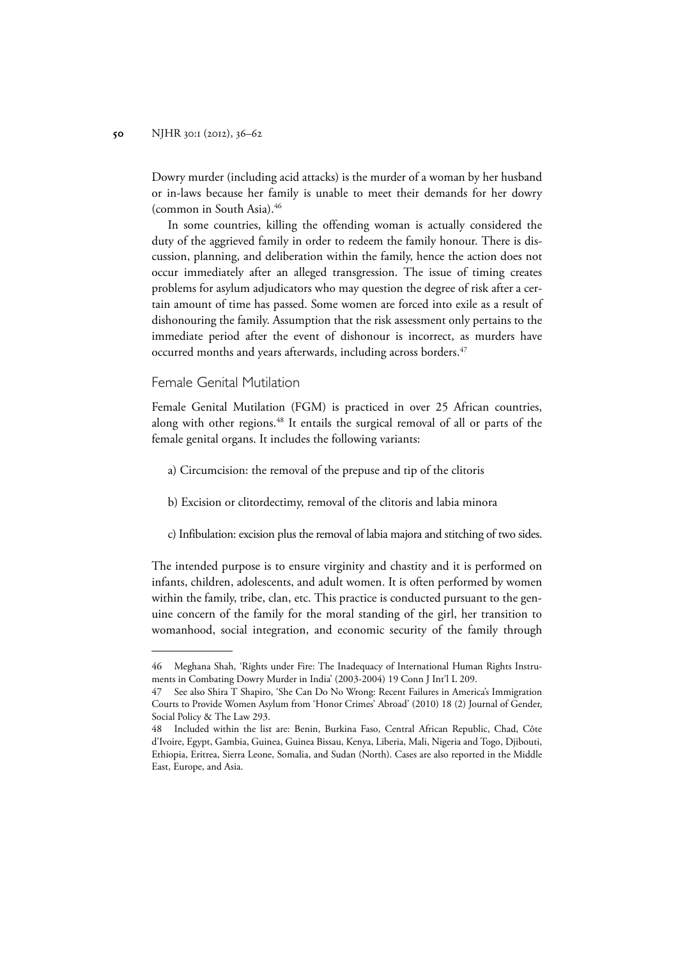Dowry murder (including acid attacks) is the murder of a woman by her husband or in-laws because her family is unable to meet their demands for her dowry (common in South Asia).46

In some countries, killing the offending woman is actually considered the duty of the aggrieved family in order to redeem the family honour. There is discussion, planning, and deliberation within the family, hence the action does not occur immediately after an alleged transgression. The issue of timing creates problems for asylum adjudicators who may question the degree of risk after a certain amount of time has passed. Some women are forced into exile as a result of dishonouring the family. Assumption that the risk assessment only pertains to the immediate period after the event of dishonour is incorrect, as murders have occurred months and years afterwards, including across borders.<sup>47</sup>

## Female Genital Mutilation

Female Genital Mutilation (FGM) is practiced in over 25 African countries, along with other regions.<sup>48</sup> It entails the surgical removal of all or parts of the female genital organs. It includes the following variants:

- a) Circumcision: the removal of the prepuse and tip of the clitoris
- b) Excision or clitordectimy, removal of the clitoris and labia minora
- c) Infibulation: excision plus the removal of labia majora and stitching of two sides.

The intended purpose is to ensure virginity and chastity and it is performed on infants, children, adolescents, and adult women. It is often performed by women within the family, tribe, clan, etc. This practice is conducted pursuant to the genuine concern of the family for the moral standing of the girl, her transition to womanhood, social integration, and economic security of the family through

<sup>46</sup> Meghana Shah, 'Rights under Fire: The Inadequacy of International Human Rights Instruments in Combating Dowry Murder in India' (2003-2004) 19 Conn J Int'l L 209.

<sup>47</sup> See also Shira T Shapiro, 'She Can Do No Wrong: Recent Failures in America's Immigration Courts to Provide Women Asylum from 'Honor Crimes' Abroad' (2010) 18 (2) Journal of Gender, Social Policy & The Law 293.

<sup>48</sup> Included within the list are: Benin, Burkina Faso, Central African Republic, Chad, Côte d'Ivoire, Egypt, Gambia, Guinea, Guinea Bissau, Kenya, Liberia, Mali, Nigeria and Togo, Djibouti, Ethiopia, Eritrea, Sierra Leone, Somalia, and Sudan (North). Cases are also reported in the Middle East, Europe, and Asia.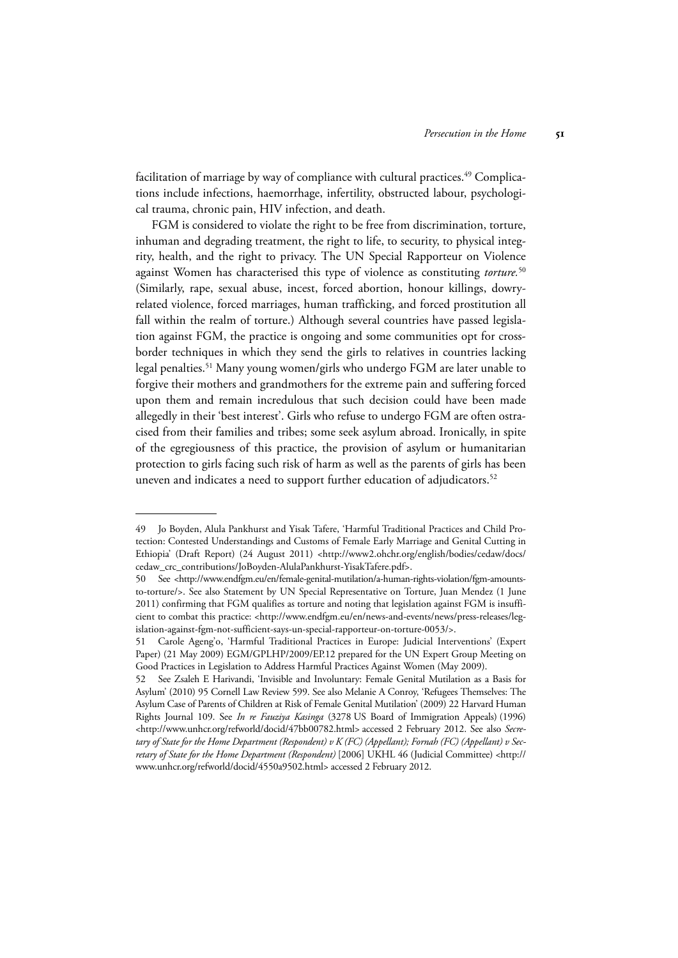facilitation of marriage by way of compliance with cultural practices.<sup>49</sup> Complications include infections, haemorrhage, infertility, obstructed labour, psychological trauma, chronic pain, HIV infection, and death.

FGM is considered to violate the right to be free from discrimination, torture, inhuman and degrading treatment, the right to life, to security, to physical integrity, health, and the right to privacy. The UN Special Rapporteur on Violence against Women has characterised this type of violence as constituting *torture.*<sup>50</sup> (Similarly, rape, sexual abuse, incest, forced abortion, honour killings, dowryrelated violence, forced marriages, human trafficking, and forced prostitution all fall within the realm of torture.) Although several countries have passed legislation against FGM, the practice is ongoing and some communities opt for crossborder techniques in which they send the girls to relatives in countries lacking legal penalties.<sup>51</sup> Many young women/girls who undergo FGM are later unable to forgive their mothers and grandmothers for the extreme pain and suffering forced upon them and remain incredulous that such decision could have been made allegedly in their 'best interest'. Girls who refuse to undergo FGM are often ostracised from their families and tribes; some seek asylum abroad. Ironically, in spite of the egregiousness of this practice, the provision of asylum or humanitarian protection to girls facing such risk of harm as well as the parents of girls has been uneven and indicates a need to support further education of adjudicators.<sup>52</sup>

<sup>49</sup> Jo Boyden, Alula Pankhurst and Yisak Tafere, 'Harmful Traditional Practices and Child Protection: Contested Understandings and Customs of Female Early Marriage and Genital Cutting in Ethiopia' (Draft Report) (24 August 2011) <http://www2.ohchr.org/english/bodies/cedaw/docs/ cedaw\_crc\_contributions/JoBoyden-AlulaPankhurst-YisakTafere.pdf>.

<sup>50</sup> See <http://www.endfgm.eu/en/female-genital-mutilation/a-human-rights-violation/fgm-amountsto-torture/>. See also Statement by UN Special Representative on Torture, Juan Mendez (1 June 2011) confirming that FGM qualifies as torture and noting that legislation against FGM is insufficient to combat this practice: <http://www.endfgm.eu/en/news-and-events/news/press-releases/legislation-against-fgm-not-sufficient-says-un-special-rapporteur-on-torture-0053/>.

<sup>51</sup> Carole Ageng'o, 'Harmful Traditional Practices in Europe: Judicial Interventions' (Expert Paper) (21 May 2009) EGM/GPLHP/2009/EP.12 prepared for the UN Expert Group Meeting on Good Practices in Legislation to Address Harmful Practices Against Women (May 2009).

<sup>52</sup> See Zsaleh E Harivandi, 'Invisible and Involuntary: Female Genital Mutilation as a Basis for Asylum' (2010) 95 Cornell Law Review 599. See also Melanie A Conroy, 'Refugees Themselves: The Asylum Case of Parents of Children at Risk of Female Genital Mutilation' (2009) 22 Harvard Human Rights Journal 109. See *In re Fauziya Kasinga* (3278 US Board of Immigration Appeals) (1996) <http://www.unhcr.org/refworld/docid/47bb00782.html> accessed 2 February 2012. See also *Secretary of State for the Home Department (Respondent) v K (FC) (Appellant); Fornah (FC) (Appellant) v Secretary of State for the Home Department (Respondent)* [2006] UKHL 46 (Judicial Committee) <http:// www.unhcr.org/refworld/docid/4550a9502.html> accessed 2 February 2012.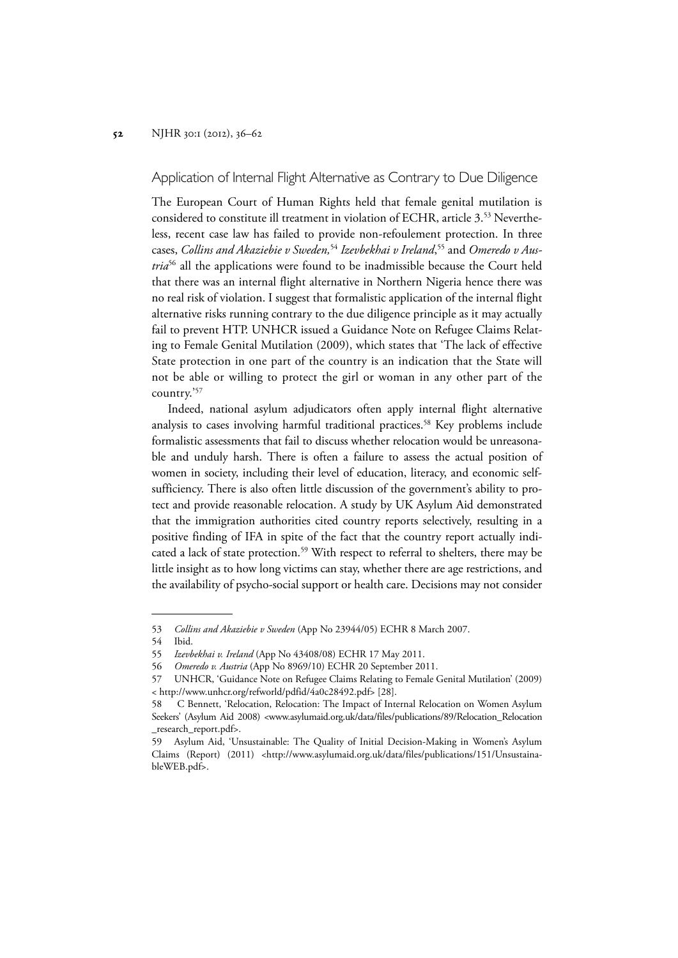Application of Internal Flight Alternative as Contrary to Due Diligence

The European Court of Human Rights held that female genital mutilation is considered to constitute ill treatment in violation of ECHR, article 3.53 Nevertheless, recent case law has failed to provide non-refoulement protection. In three cases, *Collins and Akaziebie v Sweden,*<sup>54</sup> *Izevbekhai v Ireland*, 55 and *Omeredo v Austria*56 all the applications were found to be inadmissible because the Court held that there was an internal flight alternative in Northern Nigeria hence there was no real risk of violation. I suggest that formalistic application of the internal flight alternative risks running contrary to the due diligence principle as it may actually fail to prevent HTP. UNHCR issued a Guidance Note on Refugee Claims Relating to Female Genital Mutilation (2009), which states that 'The lack of effective State protection in one part of the country is an indication that the State will not be able or willing to protect the girl or woman in any other part of the country.'57

Indeed, national asylum adjudicators often apply internal flight alternative analysis to cases involving harmful traditional practices.<sup>58</sup> Key problems include formalistic assessments that fail to discuss whether relocation would be unreasonable and unduly harsh. There is often a failure to assess the actual position of women in society, including their level of education, literacy, and economic selfsufficiency. There is also often little discussion of the government's ability to protect and provide reasonable relocation. A study by UK Asylum Aid demonstrated that the immigration authorities cited country reports selectively, resulting in a positive finding of IFA in spite of the fact that the country report actually indicated a lack of state protection.<sup>59</sup> With respect to referral to shelters, there may be little insight as to how long victims can stay, whether there are age restrictions, and the availability of psycho-social support or health care. Decisions may not consider

<sup>53</sup> *Collins and Akaziebie v Sweden* (App No 23944/05) ECHR 8 March 2007.

<sup>54</sup> Ibid.

<sup>55</sup> *Izevbekhai v. Ireland* (App No 43408/08) ECHR 17 May 2011.

<sup>56</sup> *Omeredo v. Austria* (App No 8969/10) ECHR 20 September 2011.

<sup>57</sup> UNHCR, 'Guidance Note on Refugee Claims Relating to Female Genital Mutilation' (2009) < http://www.unhcr.org/refworld/pdfid/4a0c28492.pdf> [28].

<sup>58</sup> C Bennett, 'Relocation, Relocation: The Impact of Internal Relocation on Women Asylum Seekers' (Asylum Aid 2008) <www.asylumaid.org.uk/data/files/publications/89/Relocation\_Relocation \_research\_report.pdf>.

<sup>59</sup> Asylum Aid, 'Unsustainable: The Quality of Initial Decision-Making in Women's Asylum Claims (Report) (2011) <http://www.asylumaid.org.uk/data/files/publications/151/UnsustainableWEB.pdf>.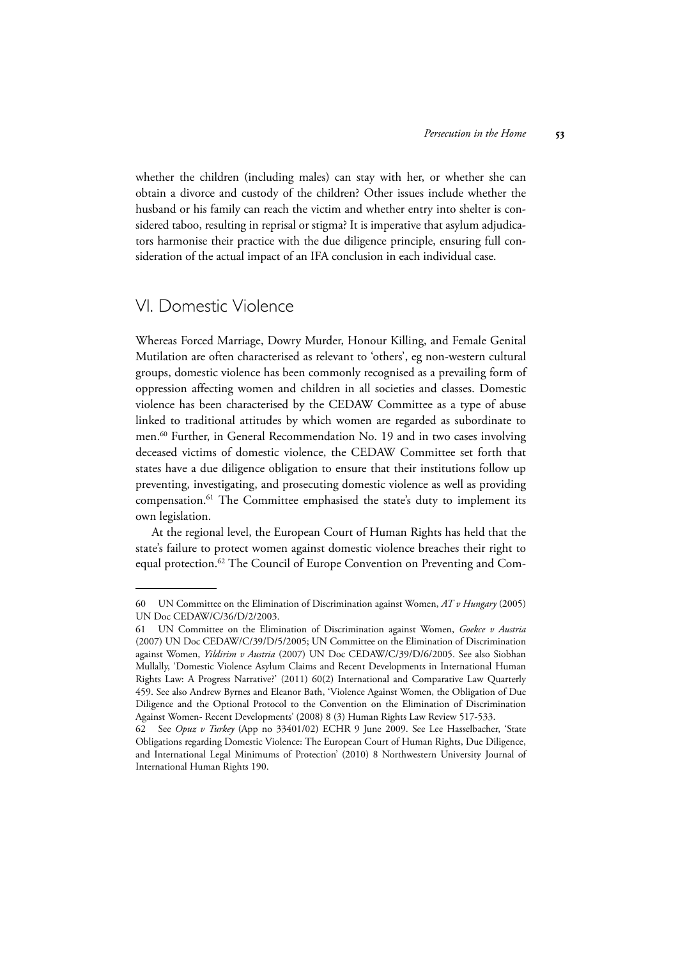whether the children (including males) can stay with her, or whether she can obtain a divorce and custody of the children? Other issues include whether the husband or his family can reach the victim and whether entry into shelter is considered taboo, resulting in reprisal or stigma? It is imperative that asylum adjudicators harmonise their practice with the due diligence principle, ensuring full consideration of the actual impact of an IFA conclusion in each individual case.

## VI. Domestic Violence

Whereas Forced Marriage, Dowry Murder, Honour Killing, and Female Genital Mutilation are often characterised as relevant to 'others', eg non-western cultural groups, domestic violence has been commonly recognised as a prevailing form of oppression affecting women and children in all societies and classes. Domestic violence has been characterised by the CEDAW Committee as a type of abuse linked to traditional attitudes by which women are regarded as subordinate to men.<sup>60</sup> Further, in General Recommendation No. 19 and in two cases involving deceased victims of domestic violence, the CEDAW Committee set forth that states have a due diligence obligation to ensure that their institutions follow up preventing, investigating, and prosecuting domestic violence as well as providing compensation.61 The Committee emphasised the state's duty to implement its own legislation.

At the regional level, the European Court of Human Rights has held that the state's failure to protect women against domestic violence breaches their right to equal protection.<sup>62</sup> The Council of Europe Convention on Preventing and Com-

<sup>60</sup> UN Committee on the Elimination of Discrimination against Women, *AT v Hungary* (2005) UN Doc CEDAW/C/36/D/2/2003.

<sup>61</sup> UN Committee on the Elimination of Discrimination against Women, *Goekce v Austria* (2007) UN Doc CEDAW/C/39/D/5/2005; UN Committee on the Elimination of Discrimination against Women, *Yildirim v Austria* (2007) UN Doc CEDAW/C/39/D/6/2005. See also Siobhan Mullally, 'Domestic Violence Asylum Claims and Recent Developments in International Human Rights Law: A Progress Narrative?' (2011) 60(2) International and Comparative Law Quarterly 459. See also Andrew Byrnes and Eleanor Bath, 'Violence Against Women, the Obligation of Due Diligence and the Optional Protocol to the Convention on the Elimination of Discrimination Against Women- Recent Developments' (2008) 8 (3) Human Rights Law Review 517-533.

<sup>62</sup> See *Opuz v Turkey* (App no 33401/02) ECHR 9 June 2009. See Lee Hasselbacher, 'State Obligations regarding Domestic Violence: The European Court of Human Rights, Due Diligence, and International Legal Minimums of Protection' (2010) 8 Northwestern University Journal of International Human Rights 190.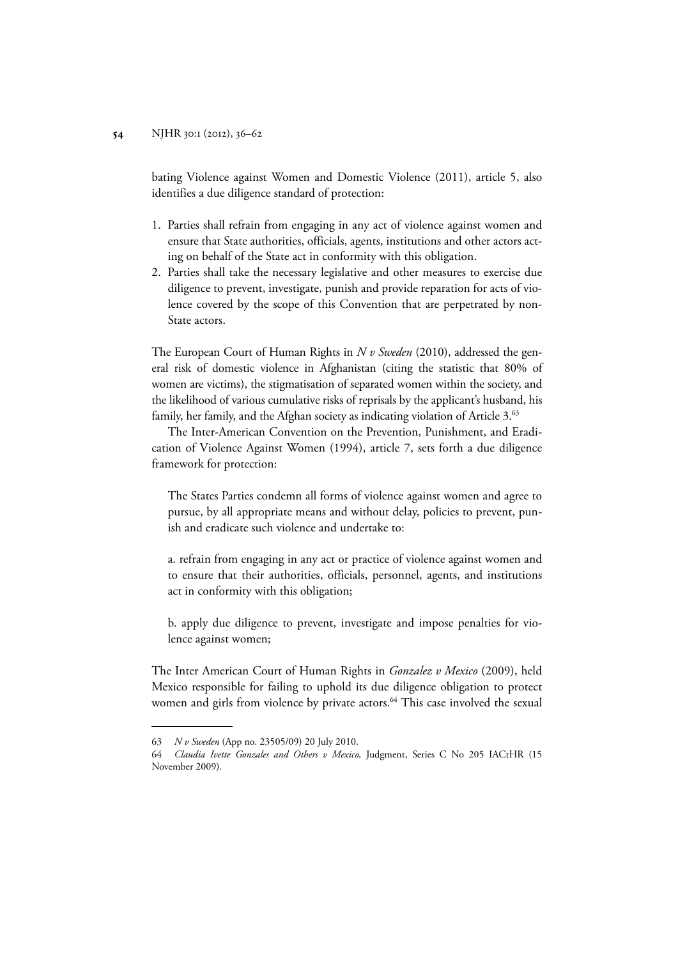bating Violence against Women and Domestic Violence (2011), article 5, also identifies a due diligence standard of protection:

- 1. Parties shall refrain from engaging in any act of violence against women and ensure that State authorities, officials, agents, institutions and other actors acting on behalf of the State act in conformity with this obligation.
- 2. Parties shall take the necessary legislative and other measures to exercise due diligence to prevent, investigate, punish and provide reparation for acts of violence covered by the scope of this Convention that are perpetrated by non-State actors.

The European Court of Human Rights in *N v Sweden* (2010), addressed the general risk of domestic violence in Afghanistan (citing the statistic that 80% of women are victims), the stigmatisation of separated women within the society, and the likelihood of various cumulative risks of reprisals by the applicant's husband, his family, her family, and the Afghan society as indicating violation of Article 3.<sup>63</sup>

The Inter-American Convention on the Prevention, Punishment, and Eradication of Violence Against Women (1994), article 7, sets forth a due diligence framework for protection:

The States Parties condemn all forms of violence against women and agree to pursue, by all appropriate means and without delay, policies to prevent, punish and eradicate such violence and undertake to:

a. refrain from engaging in any act or practice of violence against women and to ensure that their authorities, officials, personnel, agents, and institutions act in conformity with this obligation;

b. apply due diligence to prevent, investigate and impose penalties for violence against women;

The Inter American Court of Human Rights in *Gonzalez v Mexico* (2009), held Mexico responsible for failing to uphold its due diligence obligation to protect women and girls from violence by private actors.<sup>64</sup> This case involved the sexual

<sup>63</sup> *N v Sweden* (App no. 23505/09) 20 July 2010.

<sup>64</sup> *Claudia Ivette Gonzales and Others v Mexico,* Judgment, Series C No 205 IACtHR (15 November 2009).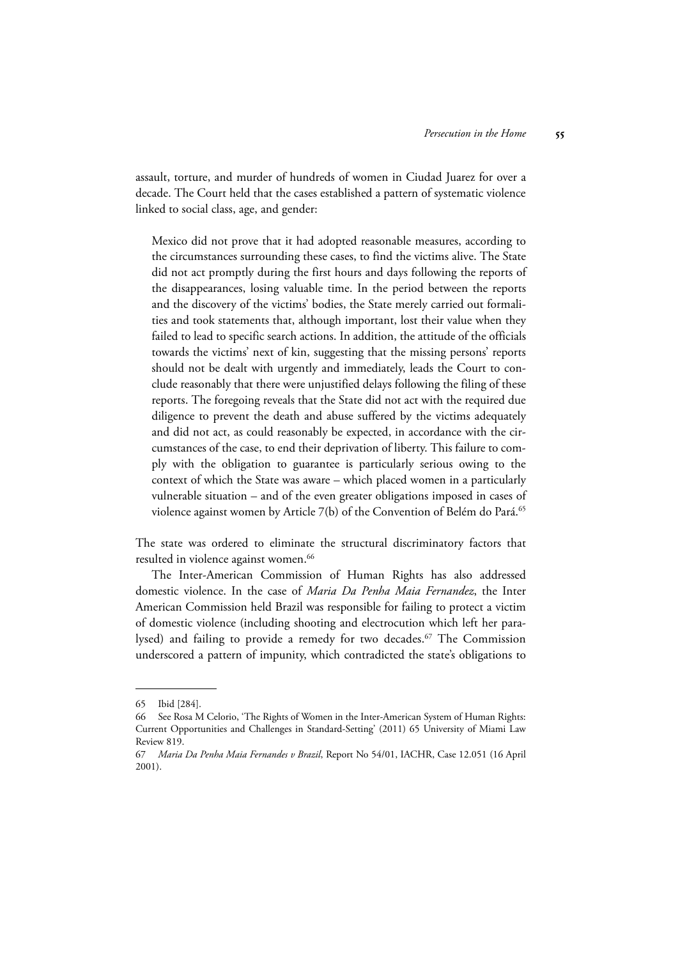assault, torture, and murder of hundreds of women in Ciudad Juarez for over a decade. The Court held that the cases established a pattern of systematic violence linked to social class, age, and gender:

Mexico did not prove that it had adopted reasonable measures, according to the circumstances surrounding these cases, to find the victims alive. The State did not act promptly during the first hours and days following the reports of the disappearances, losing valuable time. In the period between the reports and the discovery of the victims' bodies, the State merely carried out formalities and took statements that, although important, lost their value when they failed to lead to specific search actions. In addition, the attitude of the officials towards the victims' next of kin, suggesting that the missing persons' reports should not be dealt with urgently and immediately, leads the Court to conclude reasonably that there were unjustified delays following the filing of these reports. The foregoing reveals that the State did not act with the required due diligence to prevent the death and abuse suffered by the victims adequately and did not act, as could reasonably be expected, in accordance with the circumstances of the case, to end their deprivation of liberty. This failure to comply with the obligation to guarantee is particularly serious owing to the context of which the State was aware – which placed women in a particularly vulnerable situation – and of the even greater obligations imposed in cases of violence against women by Article 7(b) of the Convention of Belém do Pará.<sup>65</sup>

The state was ordered to eliminate the structural discriminatory factors that resulted in violence against women.<sup>66</sup>

The Inter-American Commission of Human Rights has also addressed domestic violence. In the case of *Maria Da Penha Maia Fernandez*, the Inter American Commission held Brazil was responsible for failing to protect a victim of domestic violence (including shooting and electrocution which left her paralysed) and failing to provide a remedy for two decades.<sup>67</sup> The Commission underscored a pattern of impunity, which contradicted the state's obligations to

<sup>65</sup> Ibid [284].

<sup>66</sup> See Rosa M Celorio, 'The Rights of Women in the Inter-American System of Human Rights: Current Opportunities and Challenges in Standard-Setting' (2011) 65 University of Miami Law Review 819.

<sup>67</sup> *Maria Da Penha Maia Fernandes v Brazil*, Report No 54/01, IACHR, Case 12.051 (16 April 2001).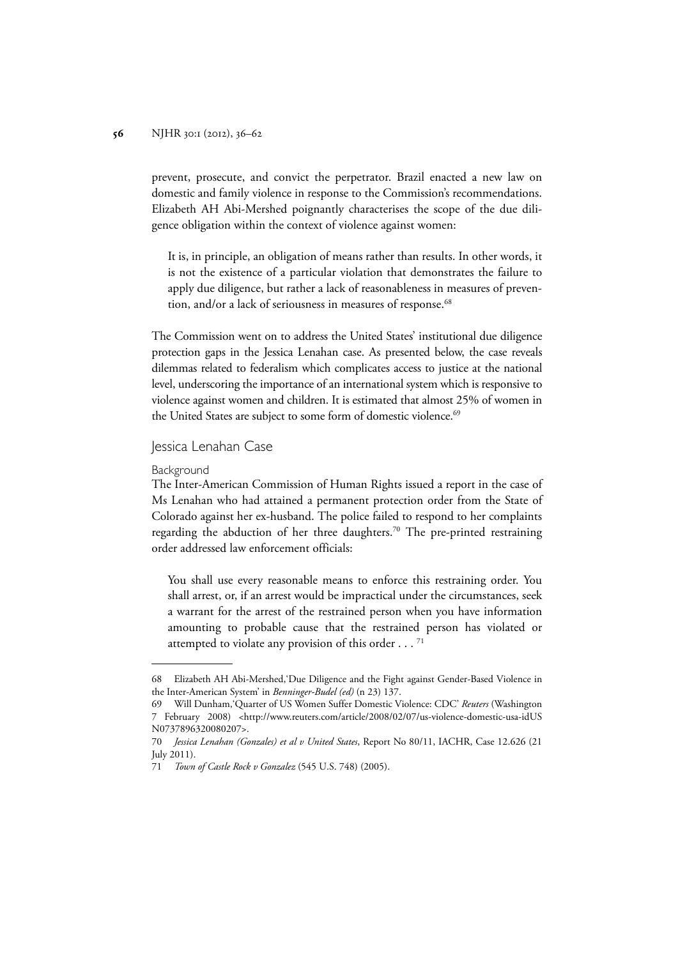prevent, prosecute, and convict the perpetrator. Brazil enacted a new law on domestic and family violence in response to the Commission's recommendations. Elizabeth AH Abi-Mershed poignantly characterises the scope of the due diligence obligation within the context of violence against women:

It is, in principle, an obligation of means rather than results. In other words, it is not the existence of a particular violation that demonstrates the failure to apply due diligence, but rather a lack of reasonableness in measures of prevention, and/or a lack of seriousness in measures of response.<sup>68</sup>

The Commission went on to address the United States' institutional due diligence protection gaps in the Jessica Lenahan case. As presented below, the case reveals dilemmas related to federalism which complicates access to justice at the national level, underscoring the importance of an international system which is responsive to violence against women and children. It is estimated that almost 25% of women in the United States are subject to some form of domestic violence.<sup>69</sup>

## Jessica Lenahan Case

#### Background

The Inter-American Commission of Human Rights issued a report in the case of Ms Lenahan who had attained a permanent protection order from the State of Colorado against her ex-husband. The police failed to respond to her complaints regarding the abduction of her three daughters.<sup>70</sup> The pre-printed restraining order addressed law enforcement officials:

You shall use every reasonable means to enforce this restraining order. You shall arrest, or, if an arrest would be impractical under the circumstances, seek a warrant for the arrest of the restrained person when you have information amounting to probable cause that the restrained person has violated or attempted to violate any provision of this order  $\dots$ .<sup>71</sup>

<sup>68</sup> Elizabeth AH Abi-Mershed,'Due Diligence and the Fight against Gender-Based Violence in the Inter-American System' in *Benninger-Budel (ed)* (n 23) 137.

<sup>69</sup> Will Dunham,'Quarter of US Women Suffer Domestic Violence: CDC' *Reuters* (Washington 7 February 2008) <http://www.reuters.com/article/2008/02/07/us-violence-domestic-usa-idUS N0737896320080207>.

<sup>70</sup> *Jessica Lenahan (Gonzales) et al v United States*, Report No 80/11, IACHR, Case 12.626 (21 July 2011).

<sup>71</sup> *Town of Castle Rock v Gonzalez* (545 U.S. 748) (2005).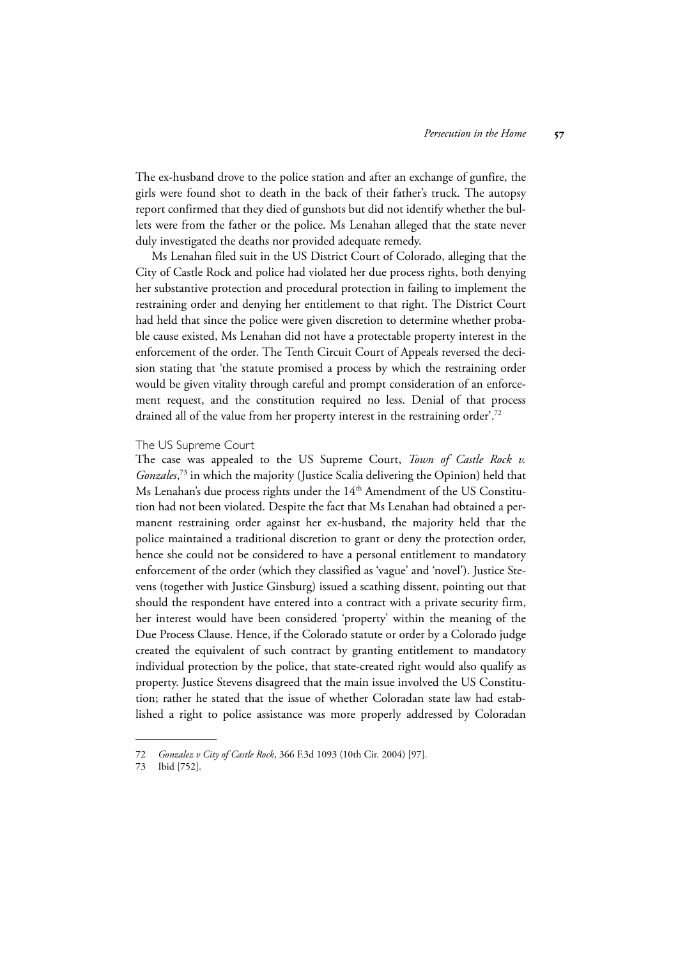The ex-husband drove to the police station and after an exchange of gunfire, the girls were found shot to death in the back of their father's truck. The autopsy report confirmed that they died of gunshots but did not identify whether the bullets were from the father or the police. Ms Lenahan alleged that the state never duly investigated the deaths nor provided adequate remedy.

Ms Lenahan filed suit in the US District Court of Colorado, alleging that the City of Castle Rock and police had violated her due process rights, both denying her substantive protection and procedural protection in failing to implement the restraining order and denying her entitlement to that right. The District Court had held that since the police were given discretion to determine whether probable cause existed, Ms Lenahan did not have a protectable property interest in the enforcement of the order. The Tenth Circuit Court of Appeals reversed the decision stating that 'the statute promised a process by which the restraining order would be given vitality through careful and prompt consideration of an enforcement request, and the constitution required no less. Denial of that process drained all of the value from her property interest in the restraining order'.<sup>72</sup>

## The US Supreme Court

The case was appealed to the US Supreme Court, *Town of Castle Rock v. Gonzales*, 73 in which the majority (Justice Scalia delivering the Opinion) held that Ms Lenahan's due process rights under the 14<sup>th</sup> Amendment of the US Constitution had not been violated. Despite the fact that Ms Lenahan had obtained a permanent restraining order against her ex-husband, the majority held that the police maintained a traditional discretion to grant or deny the protection order, hence she could not be considered to have a personal entitlement to mandatory enforcement of the order (which they classified as 'vague' and 'novel'). Justice Stevens (together with Justice Ginsburg) issued a scathing dissent, pointing out that should the respondent have entered into a contract with a private security firm, her interest would have been considered 'property' within the meaning of the Due Process Clause. Hence, if the Colorado statute or order by a Colorado judge created the equivalent of such contract by granting entitlement to mandatory individual protection by the police, that state-created right would also qualify as property. Justice Stevens disagreed that the main issue involved the US Constitution; rather he stated that the issue of whether Coloradan state law had established a right to police assistance was more properly addressed by Coloradan

<sup>72</sup> *Gonzalez v City of Castle Rock*, 366 F.3d 1093 (10th Cir. 2004) [97].

<sup>73</sup> Ibid [752].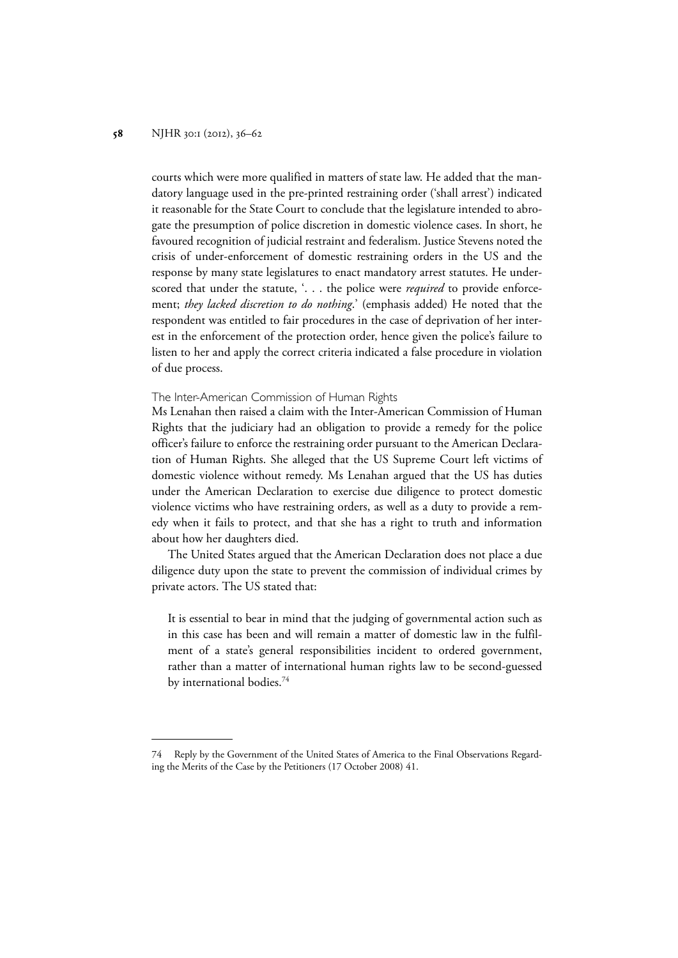courts which were more qualified in matters of state law. He added that the mandatory language used in the pre-printed restraining order ('shall arrest') indicated it reasonable for the State Court to conclude that the legislature intended to abrogate the presumption of police discretion in domestic violence cases. In short, he favoured recognition of judicial restraint and federalism. Justice Stevens noted the crisis of under-enforcement of domestic restraining orders in the US and the response by many state legislatures to enact mandatory arrest statutes. He underscored that under the statute, '. . . the police were *required* to provide enforcement; *they lacked discretion to do nothing*.' (emphasis added) He noted that the respondent was entitled to fair procedures in the case of deprivation of her interest in the enforcement of the protection order, hence given the police's failure to listen to her and apply the correct criteria indicated a false procedure in violation of due process.

### The Inter-American Commission of Human Rights

Ms Lenahan then raised a claim with the Inter-American Commission of Human Rights that the judiciary had an obligation to provide a remedy for the police officer's failure to enforce the restraining order pursuant to the American Declaration of Human Rights. She alleged that the US Supreme Court left victims of domestic violence without remedy. Ms Lenahan argued that the US has duties under the American Declaration to exercise due diligence to protect domestic violence victims who have restraining orders, as well as a duty to provide a remedy when it fails to protect, and that she has a right to truth and information about how her daughters died.

The United States argued that the American Declaration does not place a due diligence duty upon the state to prevent the commission of individual crimes by private actors. The US stated that:

It is essential to bear in mind that the judging of governmental action such as in this case has been and will remain a matter of domestic law in the fulfilment of a state's general responsibilities incident to ordered government, rather than a matter of international human rights law to be second-guessed by international bodies.<sup>74</sup>

<sup>74</sup> Reply by the Government of the United States of America to the Final Observations Regarding the Merits of the Case by the Petitioners (17 October 2008) 41.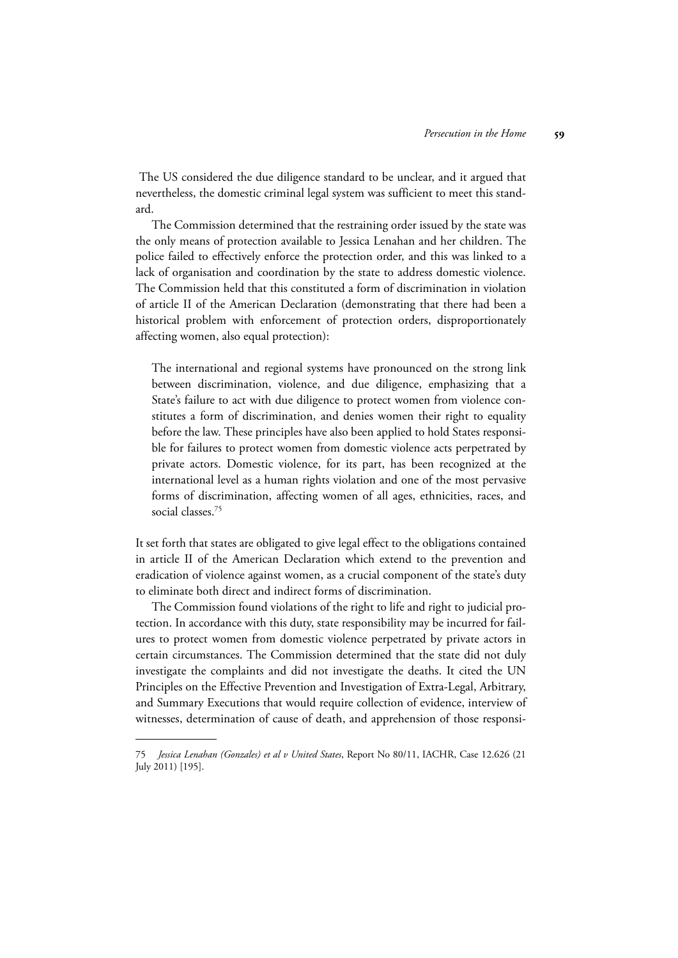The US considered the due diligence standard to be unclear, and it argued that nevertheless, the domestic criminal legal system was sufficient to meet this standard.

The Commission determined that the restraining order issued by the state was the only means of protection available to Jessica Lenahan and her children. The police failed to effectively enforce the protection order, and this was linked to a lack of organisation and coordination by the state to address domestic violence. The Commission held that this constituted a form of discrimination in violation of article II of the American Declaration (demonstrating that there had been a historical problem with enforcement of protection orders, disproportionately affecting women, also equal protection):

The international and regional systems have pronounced on the strong link between discrimination, violence, and due diligence, emphasizing that a State's failure to act with due diligence to protect women from violence constitutes a form of discrimination, and denies women their right to equality before the law. These principles have also been applied to hold States responsible for failures to protect women from domestic violence acts perpetrated by private actors. Domestic violence, for its part, has been recognized at the international level as a human rights violation and one of the most pervasive forms of discrimination, affecting women of all ages, ethnicities, races, and social classes.75

It set forth that states are obligated to give legal effect to the obligations contained in article II of the American Declaration which extend to the prevention and eradication of violence against women, as a crucial component of the state's duty to eliminate both direct and indirect forms of discrimination.

The Commission found violations of the right to life and right to judicial protection. In accordance with this duty, state responsibility may be incurred for failures to protect women from domestic violence perpetrated by private actors in certain circumstances. The Commission determined that the state did not duly investigate the complaints and did not investigate the deaths. It cited the UN Principles on the Effective Prevention and Investigation of Extra-Legal, Arbitrary, and Summary Executions that would require collection of evidence, interview of witnesses, determination of cause of death, and apprehension of those responsi-

<sup>75</sup> *Jessica Lenahan (Gonzales) et al v United States*, Report No 80/11, IACHR, Case 12.626 (21 July 2011) [195].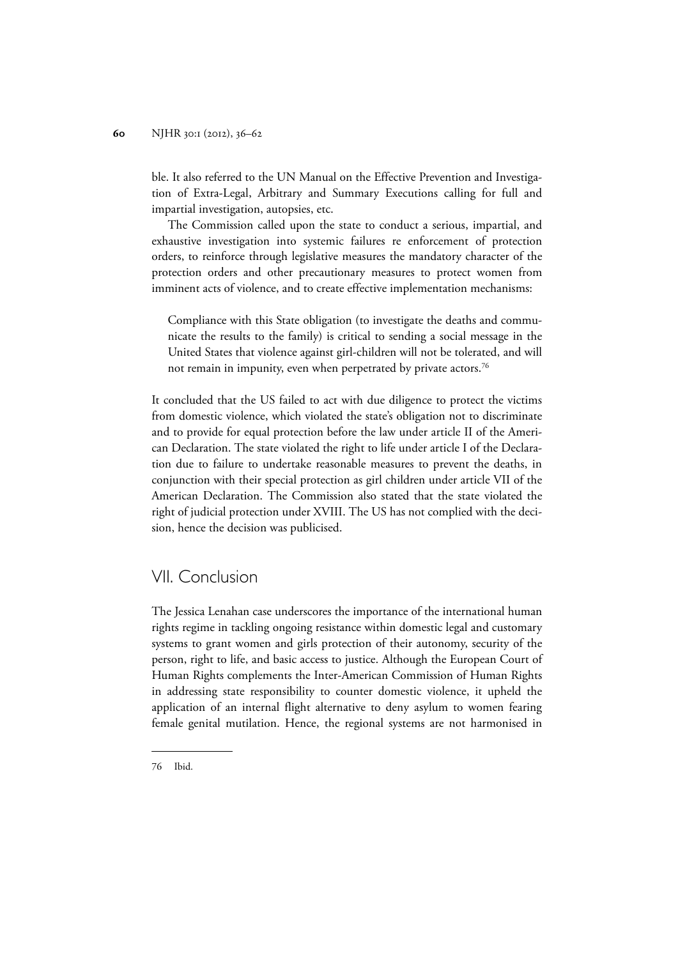ble. It also referred to the UN Manual on the Effective Prevention and Investigation of Extra-Legal, Arbitrary and Summary Executions calling for full and impartial investigation, autopsies, etc.

The Commission called upon the state to conduct a serious, impartial, and exhaustive investigation into systemic failures re enforcement of protection orders, to reinforce through legislative measures the mandatory character of the protection orders and other precautionary measures to protect women from imminent acts of violence, and to create effective implementation mechanisms:

Compliance with this State obligation (to investigate the deaths and communicate the results to the family) is critical to sending a social message in the United States that violence against girl-children will not be tolerated, and will not remain in impunity, even when perpetrated by private actors.<sup>76</sup>

It concluded that the US failed to act with due diligence to protect the victims from domestic violence, which violated the state's obligation not to discriminate and to provide for equal protection before the law under article II of the American Declaration. The state violated the right to life under article I of the Declaration due to failure to undertake reasonable measures to prevent the deaths, in conjunction with their special protection as girl children under article VII of the American Declaration. The Commission also stated that the state violated the right of judicial protection under XVIII. The US has not complied with the decision, hence the decision was publicised.

## VII. Conclusion

The Jessica Lenahan case underscores the importance of the international human rights regime in tackling ongoing resistance within domestic legal and customary systems to grant women and girls protection of their autonomy, security of the person, right to life, and basic access to justice. Although the European Court of Human Rights complements the Inter-American Commission of Human Rights in addressing state responsibility to counter domestic violence, it upheld the application of an internal flight alternative to deny asylum to women fearing female genital mutilation. Hence, the regional systems are not harmonised in

<sup>76</sup> Ibid.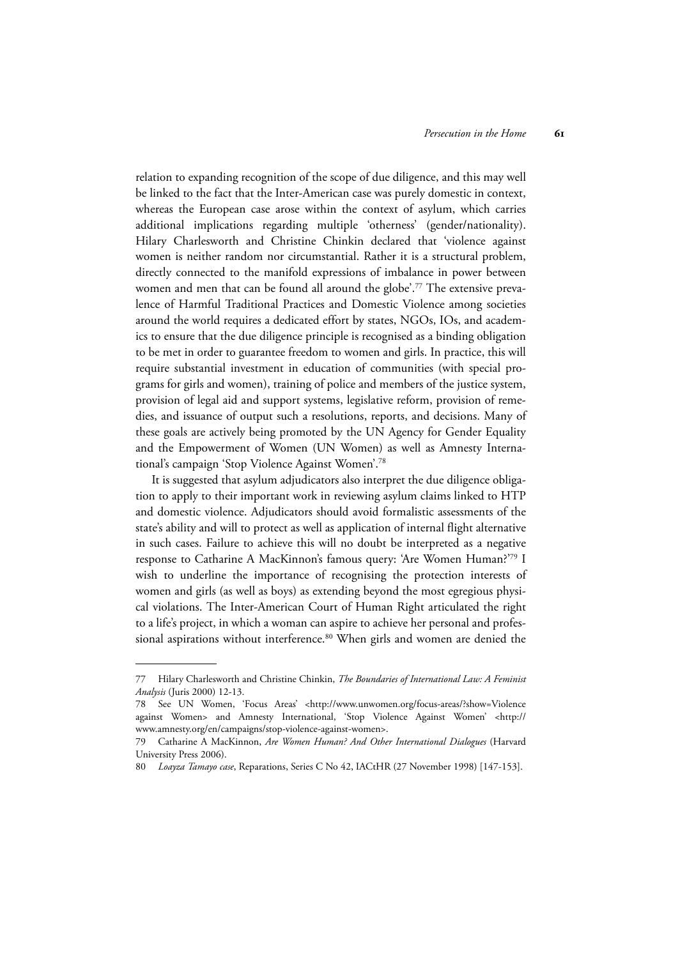relation to expanding recognition of the scope of due diligence, and this may well be linked to the fact that the Inter-American case was purely domestic in context, whereas the European case arose within the context of asylum, which carries additional implications regarding multiple 'otherness' (gender/nationality). Hilary Charlesworth and Christine Chinkin declared that 'violence against women is neither random nor circumstantial. Rather it is a structural problem, directly connected to the manifold expressions of imbalance in power between women and men that can be found all around the globe'.<sup>77</sup> The extensive prevalence of Harmful Traditional Practices and Domestic Violence among societies around the world requires a dedicated effort by states, NGOs, IOs, and academics to ensure that the due diligence principle is recognised as a binding obligation to be met in order to guarantee freedom to women and girls. In practice, this will require substantial investment in education of communities (with special programs for girls and women), training of police and members of the justice system, provision of legal aid and support systems, legislative reform, provision of remedies, and issuance of output such a resolutions, reports, and decisions. Many of these goals are actively being promoted by the UN Agency for Gender Equality and the Empowerment of Women (UN Women) as well as Amnesty International's campaign 'Stop Violence Against Women'.78

It is suggested that asylum adjudicators also interpret the due diligence obligation to apply to their important work in reviewing asylum claims linked to HTP and domestic violence. Adjudicators should avoid formalistic assessments of the state's ability and will to protect as well as application of internal flight alternative in such cases. Failure to achieve this will no doubt be interpreted as a negative response to Catharine A MacKinnon's famous query: 'Are Women Human?'79 I wish to underline the importance of recognising the protection interests of women and girls (as well as boys) as extending beyond the most egregious physical violations. The Inter-American Court of Human Right articulated the right to a life's project, in which a woman can aspire to achieve her personal and professional aspirations without interference.<sup>80</sup> When girls and women are denied the

<sup>77</sup> Hilary Charlesworth and Christine Chinkin, *The Boundaries of International Law: A Feminist Analysis* (Juris 2000) 12-13.

<sup>78</sup> See UN Women, 'Focus Areas' <http://www.unwomen.org/focus-areas/?show=Violence against Women> and Amnesty International, 'Stop Violence Against Women' <http:// www.amnesty.org/en/campaigns/stop-violence-against-women>.

<sup>79</sup> Catharine A MacKinnon, *Are Women Human? And Other International Dialogues* (Harvard University Press 2006).

<sup>80</sup> *Loayza Tamayo case*, Reparations, Series C No 42, IACtHR (27 November 1998) [147-153].